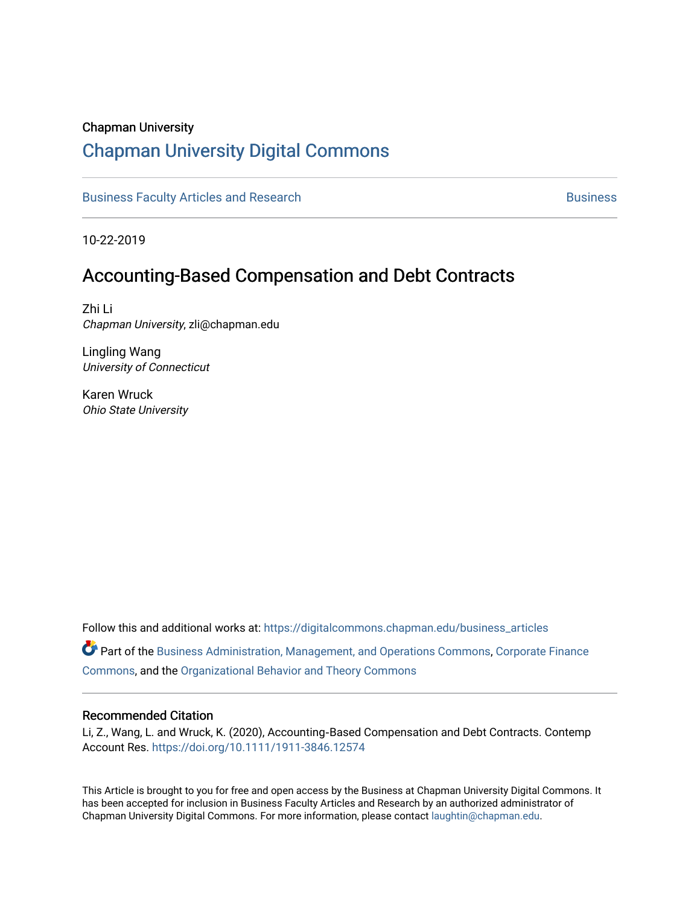# Chapman University

# [Chapman University Digital Commons](https://digitalcommons.chapman.edu/)

[Business Faculty Articles and Research](https://digitalcommons.chapman.edu/business_articles) [Business](https://digitalcommons.chapman.edu/business) **Business** Business

10-22-2019

# Accounting-Based Compensation and Debt Contracts

Zhi Li Chapman University, zli@chapman.edu

Lingling Wang University of Connecticut

Karen Wruck Ohio State University

Follow this and additional works at: [https://digitalcommons.chapman.edu/business\\_articles](https://digitalcommons.chapman.edu/business_articles?utm_source=digitalcommons.chapman.edu%2Fbusiness_articles%2F100&utm_medium=PDF&utm_campaign=PDFCoverPages) 

Part of the [Business Administration, Management, and Operations Commons](http://network.bepress.com/hgg/discipline/623?utm_source=digitalcommons.chapman.edu%2Fbusiness_articles%2F100&utm_medium=PDF&utm_campaign=PDFCoverPages), [Corporate Finance](http://network.bepress.com/hgg/discipline/629?utm_source=digitalcommons.chapman.edu%2Fbusiness_articles%2F100&utm_medium=PDF&utm_campaign=PDFCoverPages) [Commons](http://network.bepress.com/hgg/discipline/629?utm_source=digitalcommons.chapman.edu%2Fbusiness_articles%2F100&utm_medium=PDF&utm_campaign=PDFCoverPages), and the [Organizational Behavior and Theory Commons](http://network.bepress.com/hgg/discipline/639?utm_source=digitalcommons.chapman.edu%2Fbusiness_articles%2F100&utm_medium=PDF&utm_campaign=PDFCoverPages) 

# Recommended Citation

Li, Z., Wang, L. and Wruck, K. (2020), Accounting‐Based Compensation and Debt Contracts. Contemp Account Res.<https://doi.org/10.1111/1911-3846.12574>

This Article is brought to you for free and open access by the Business at Chapman University Digital Commons. It has been accepted for inclusion in Business Faculty Articles and Research by an authorized administrator of Chapman University Digital Commons. For more information, please contact [laughtin@chapman.edu](mailto:laughtin@chapman.edu).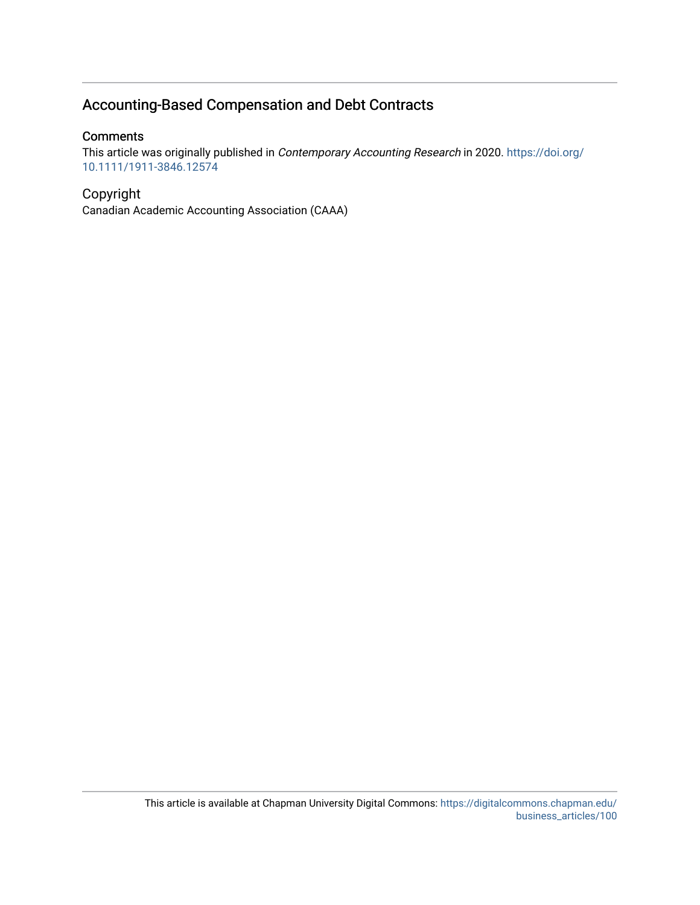# Accounting-Based Compensation and Debt Contracts

# **Comments**

This article was originally published in Contemporary Accounting Research in 2020. [https://doi.org/](https://doi.org/10.1111/1911-3846.12574) [10.1111/1911-3846.12574](https://doi.org/10.1111/1911-3846.12574) 

# Copyright

Canadian Academic Accounting Association (CAAA)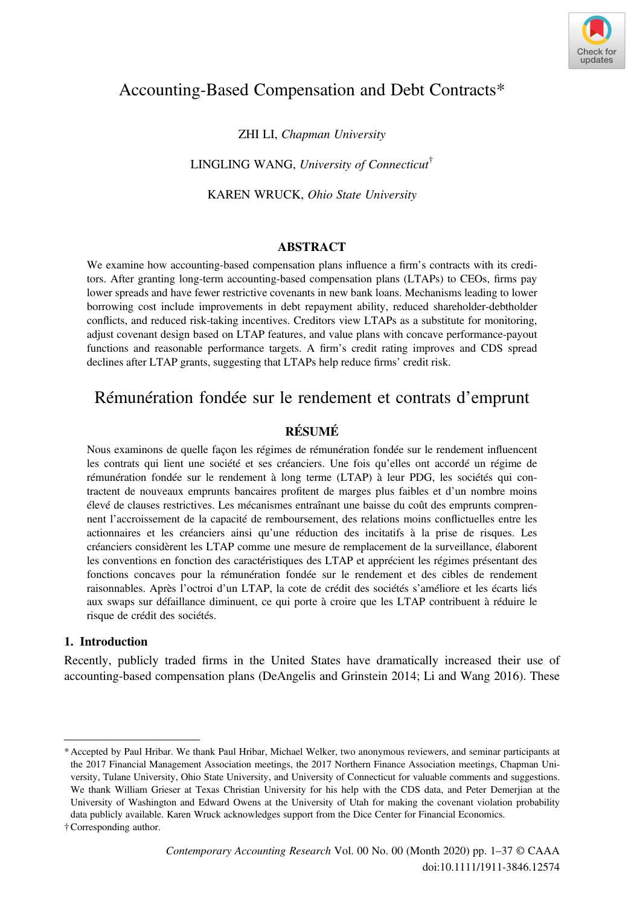

# Accounting-Based Compensation and Debt Contracts\*

ZHI LI, Chapman University

LINGLING WANG, University of Connecticut $^{\dagger}$ 

KAREN WRUCK, Ohio State University

# ABSTRACT

We examine how accounting-based compensation plans influence a firm's contracts with its creditors. After granting long-term accounting-based compensation plans (LTAPs) to CEOs, firms pay lower spreads and have fewer restrictive covenants in new bank loans. Mechanisms leading to lower borrowing cost include improvements in debt repayment ability, reduced shareholder-debtholder conflicts, and reduced risk-taking incentives. Creditors view LTAPs as a substitute for monitoring, adjust covenant design based on LTAP features, and value plans with concave performance-payout functions and reasonable performance targets. A firm's credit rating improves and CDS spread declines after LTAP grants, suggesting that LTAPs help reduce firms' credit risk.

# Rémunération fondée sur le rendement et contrats d'emprunt

# RÉSUMÉ

Nous examinons de quelle façon les régimes de rémunération fondée sur le rendement influencent les contrats qui lient une société et ses créanciers. Une fois qu'elles ont accordé un régime de rémunération fondée sur le rendement à long terme (LTAP) à leur PDG, les sociétés qui contractent de nouveaux emprunts bancaires profitent de marges plus faibles et d'un nombre moins élevé de clauses restrictives. Les mécanismes entraînant une baisse du coût des emprunts comprennent l'accroissement de la capacité de remboursement, des relations moins conflictuelles entre les actionnaires et les créanciers ainsi qu'une réduction des incitatifs à la prise de risques. Les créanciers considèrent les LTAP comme une mesure de remplacement de la surveillance, élaborent les conventions en fonction des caractéristiques des LTAP et apprécient les régimes présentant des fonctions concaves pour la rémunération fondée sur le rendement et des cibles de rendement raisonnables. Après l'octroi d'un LTAP, la cote de crédit des sociétés s'améliore et les écarts liés aux swaps sur défaillance diminuent, ce qui porte à croire que les LTAP contribuent à réduire le risque de crédit des sociétés.

## 1. Introduction

Recently, publicly traded firms in the United States have dramatically increased their use of accounting-based compensation plans (DeAngelis and Grinstein 2014; Li and Wang 2016). These

<sup>\*</sup>Accepted by Paul Hribar. We thank Paul Hribar, Michael Welker, two anonymous reviewers, and seminar participants at the 2017 Financial Management Association meetings, the 2017 Northern Finance Association meetings, Chapman University, Tulane University, Ohio State University, and University of Connecticut for valuable comments and suggestions. We thank William Grieser at Texas Christian University for his help with the CDS data, and Peter Demerjian at the University of Washington and Edward Owens at the University of Utah for making the covenant violation probability data publicly available. Karen Wruck acknowledges support from the Dice Center for Financial Economics.

<sup>†</sup>Corresponding author.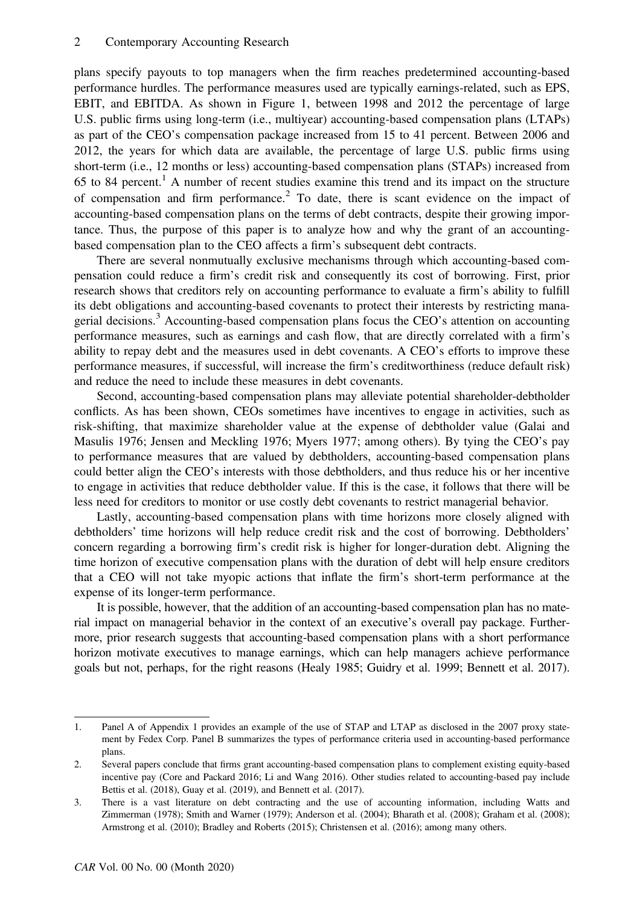plans specify payouts to top managers when the firm reaches predetermined accounting-based performance hurdles. The performance measures used are typically earnings-related, such as EPS, EBIT, and EBITDA. As shown in Figure 1, between 1998 and 2012 the percentage of large U.S. public firms using long-term (i.e., multiyear) accounting-based compensation plans (LTAPs) as part of the CEO's compensation package increased from 15 to 41 percent. Between 2006 and 2012, the years for which data are available, the percentage of large U.S. public firms using short-term (i.e., 12 months or less) accounting-based compensation plans (STAPs) increased from 65 to 84 percent.<sup>1</sup> A number of recent studies examine this trend and its impact on the structure of compensation and firm performance.<sup>2</sup> To date, there is scant evidence on the impact of accounting-based compensation plans on the terms of debt contracts, despite their growing importance. Thus, the purpose of this paper is to analyze how and why the grant of an accountingbased compensation plan to the CEO affects a firm's subsequent debt contracts.

There are several nonmutually exclusive mechanisms through which accounting-based compensation could reduce a firm's credit risk and consequently its cost of borrowing. First, prior research shows that creditors rely on accounting performance to evaluate a firm's ability to fulfill its debt obligations and accounting-based covenants to protect their interests by restricting managerial decisions.<sup>3</sup> Accounting-based compensation plans focus the CEO's attention on accounting performance measures, such as earnings and cash flow, that are directly correlated with a firm's ability to repay debt and the measures used in debt covenants. A CEO's efforts to improve these performance measures, if successful, will increase the firm's creditworthiness (reduce default risk) and reduce the need to include these measures in debt covenants.

Second, accounting-based compensation plans may alleviate potential shareholder-debtholder conflicts. As has been shown, CEOs sometimes have incentives to engage in activities, such as risk-shifting, that maximize shareholder value at the expense of debtholder value (Galai and Masulis 1976; Jensen and Meckling 1976; Myers 1977; among others). By tying the CEO's pay to performance measures that are valued by debtholders, accounting-based compensation plans could better align the CEO's interests with those debtholders, and thus reduce his or her incentive to engage in activities that reduce debtholder value. If this is the case, it follows that there will be less need for creditors to monitor or use costly debt covenants to restrict managerial behavior.

Lastly, accounting-based compensation plans with time horizons more closely aligned with debtholders' time horizons will help reduce credit risk and the cost of borrowing. Debtholders' concern regarding a borrowing firm's credit risk is higher for longer-duration debt. Aligning the time horizon of executive compensation plans with the duration of debt will help ensure creditors that a CEO will not take myopic actions that inflate the firm's short-term performance at the expense of its longer-term performance.

It is possible, however, that the addition of an accounting-based compensation plan has no material impact on managerial behavior in the context of an executive's overall pay package. Furthermore, prior research suggests that accounting-based compensation plans with a short performance horizon motivate executives to manage earnings, which can help managers achieve performance goals but not, perhaps, for the right reasons (Healy 1985; Guidry et al. 1999; Bennett et al. 2017).

<sup>1.</sup> Panel A of Appendix 1 provides an example of the use of STAP and LTAP as disclosed in the 2007 proxy statement by Fedex Corp. Panel B summarizes the types of performance criteria used in accounting-based performance plans.

<sup>2.</sup> Several papers conclude that firms grant accounting-based compensation plans to complement existing equity-based incentive pay (Core and Packard 2016; Li and Wang 2016). Other studies related to accounting-based pay include Bettis et al. (2018), Guay et al. (2019), and Bennett et al. (2017).

<sup>3.</sup> There is a vast literature on debt contracting and the use of accounting information, including Watts and Zimmerman (1978); Smith and Warner (1979); Anderson et al. (2004); Bharath et al. (2008); Graham et al. (2008); Armstrong et al. (2010); Bradley and Roberts (2015); Christensen et al. (2016); among many others.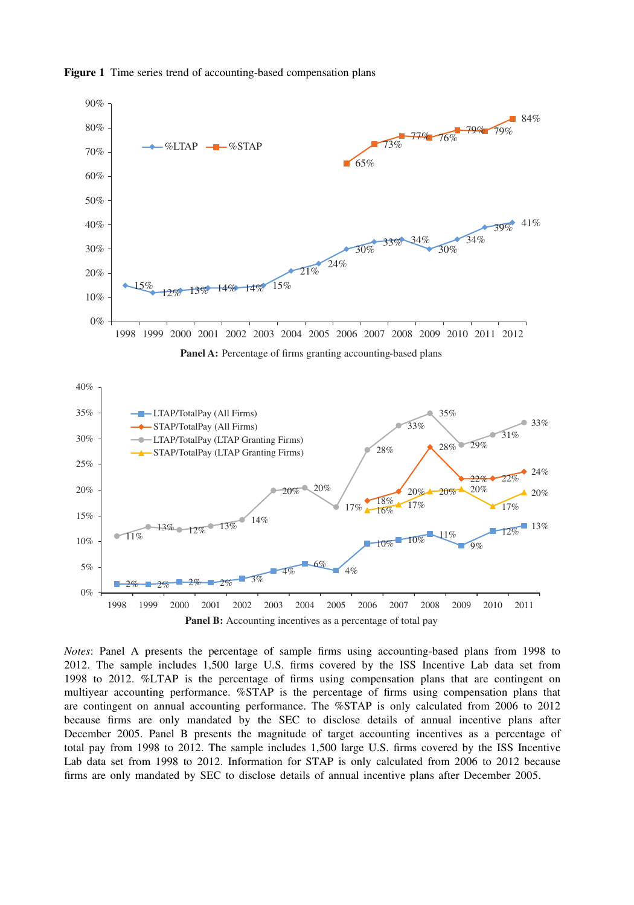

Figure 1 Time series trend of accounting-based compensation plans

Panel B: Accounting incentives as a percentage of total pay

Notes: Panel A presents the percentage of sample firms using accounting-based plans from 1998 to 2012. The sample includes 1,500 large U.S. firms covered by the ISS Incentive Lab data set from 1998 to 2012. %LTAP is the percentage of firms using compensation plans that are contingent on multiyear accounting performance. %STAP is the percentage of firms using compensation plans that are contingent on annual accounting performance. The %STAP is only calculated from 2006 to 2012 because firms are only mandated by the SEC to disclose details of annual incentive plans after December 2005. Panel B presents the magnitude of target accounting incentives as a percentage of total pay from 1998 to 2012. The sample includes 1,500 large U.S. firms covered by the ISS Incentive Lab data set from 1998 to 2012. Information for STAP is only calculated from 2006 to 2012 because firms are only mandated by SEC to disclose details of annual incentive plans after December 2005.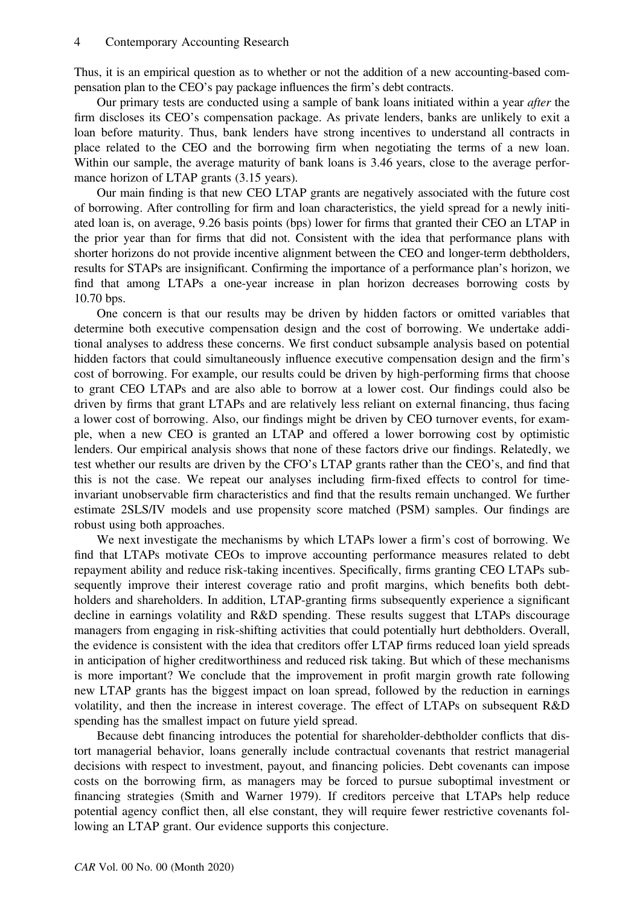Thus, it is an empirical question as to whether or not the addition of a new accounting-based compensation plan to the CEO's pay package influences the firm's debt contracts.

Our primary tests are conducted using a sample of bank loans initiated within a year *after* the firm discloses its CEO's compensation package. As private lenders, banks are unlikely to exit a loan before maturity. Thus, bank lenders have strong incentives to understand all contracts in place related to the CEO and the borrowing firm when negotiating the terms of a new loan. Within our sample, the average maturity of bank loans is 3.46 years, close to the average performance horizon of LTAP grants  $(3.15 \text{ years})$ .

Our main finding is that new CEO LTAP grants are negatively associated with the future cost of borrowing. After controlling for firm and loan characteristics, the yield spread for a newly initiated loan is, on average, 9.26 basis points (bps) lower for firms that granted their CEO an LTAP in the prior year than for firms that did not. Consistent with the idea that performance plans with shorter horizons do not provide incentive alignment between the CEO and longer-term debtholders, results for STAPs are insignificant. Confirming the importance of a performance plan's horizon, we find that among LTAPs a one-year increase in plan horizon decreases borrowing costs by 10.70 bps.

One concern is that our results may be driven by hidden factors or omitted variables that determine both executive compensation design and the cost of borrowing. We undertake additional analyses to address these concerns. We first conduct subsample analysis based on potential hidden factors that could simultaneously influence executive compensation design and the firm's cost of borrowing. For example, our results could be driven by high-performing firms that choose to grant CEO LTAPs and are also able to borrow at a lower cost. Our findings could also be driven by firms that grant LTAPs and are relatively less reliant on external financing, thus facing a lower cost of borrowing. Also, our findings might be driven by CEO turnover events, for example, when a new CEO is granted an LTAP and offered a lower borrowing cost by optimistic lenders. Our empirical analysis shows that none of these factors drive our findings. Relatedly, we test whether our results are driven by the CFO's LTAP grants rather than the CEO's, and find that this is not the case. We repeat our analyses including firm-fixed effects to control for timeinvariant unobservable firm characteristics and find that the results remain unchanged. We further estimate 2SLS/IV models and use propensity score matched (PSM) samples. Our findings are robust using both approaches.

We next investigate the mechanisms by which LTAPs lower a firm's cost of borrowing. We find that LTAPs motivate CEOs to improve accounting performance measures related to debt repayment ability and reduce risk-taking incentives. Specifically, firms granting CEO LTAPs subsequently improve their interest coverage ratio and profit margins, which benefits both debtholders and shareholders. In addition, LTAP-granting firms subsequently experience a significant decline in earnings volatility and R&D spending. These results suggest that LTAPs discourage managers from engaging in risk-shifting activities that could potentially hurt debtholders. Overall, the evidence is consistent with the idea that creditors offer LTAP firms reduced loan yield spreads in anticipation of higher creditworthiness and reduced risk taking. But which of these mechanisms is more important? We conclude that the improvement in profit margin growth rate following new LTAP grants has the biggest impact on loan spread, followed by the reduction in earnings volatility, and then the increase in interest coverage. The effect of LTAPs on subsequent R&D spending has the smallest impact on future yield spread.

Because debt financing introduces the potential for shareholder-debtholder conflicts that distort managerial behavior, loans generally include contractual covenants that restrict managerial decisions with respect to investment, payout, and financing policies. Debt covenants can impose costs on the borrowing firm, as managers may be forced to pursue suboptimal investment or financing strategies (Smith and Warner 1979). If creditors perceive that LTAPs help reduce potential agency conflict then, all else constant, they will require fewer restrictive covenants following an LTAP grant. Our evidence supports this conjecture.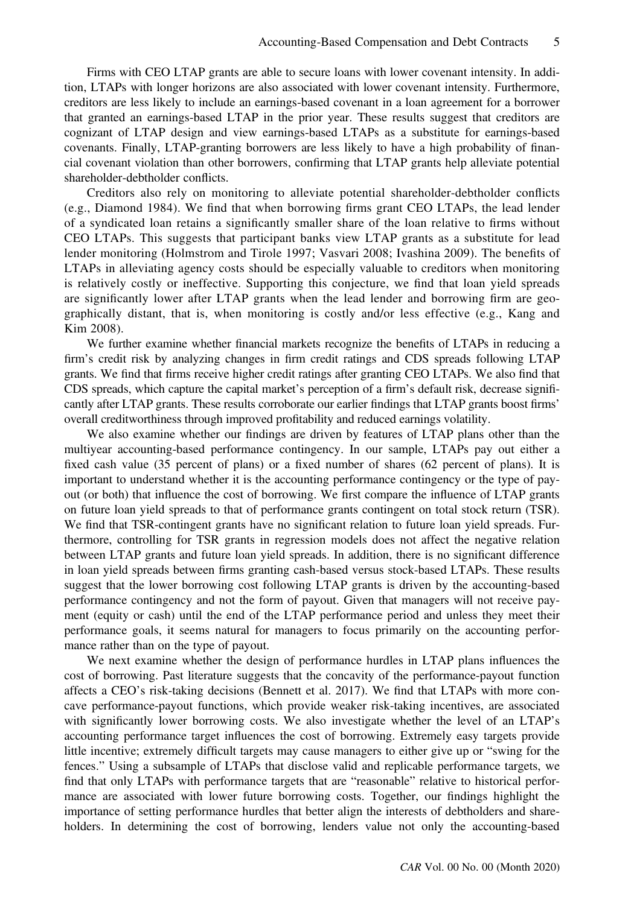Firms with CEO LTAP grants are able to secure loans with lower covenant intensity. In addition, LTAPs with longer horizons are also associated with lower covenant intensity. Furthermore, creditors are less likely to include an earnings-based covenant in a loan agreement for a borrower that granted an earnings-based LTAP in the prior year. These results suggest that creditors are cognizant of LTAP design and view earnings-based LTAPs as a substitute for earnings-based covenants. Finally, LTAP-granting borrowers are less likely to have a high probability of financial covenant violation than other borrowers, confirming that LTAP grants help alleviate potential shareholder-debtholder conflicts.

Creditors also rely on monitoring to alleviate potential shareholder-debtholder conflicts (e.g., Diamond 1984). We find that when borrowing firms grant CEO LTAPs, the lead lender of a syndicated loan retains a significantly smaller share of the loan relative to firms without CEO LTAPs. This suggests that participant banks view LTAP grants as a substitute for lead lender monitoring (Holmstrom and Tirole 1997; Vasvari 2008; Ivashina 2009). The benefits of LTAPs in alleviating agency costs should be especially valuable to creditors when monitoring is relatively costly or ineffective. Supporting this conjecture, we find that loan yield spreads are significantly lower after LTAP grants when the lead lender and borrowing firm are geographically distant, that is, when monitoring is costly and/or less effective (e.g., Kang and Kim 2008).

We further examine whether financial markets recognize the benefits of LTAPs in reducing a firm's credit risk by analyzing changes in firm credit ratings and CDS spreads following LTAP grants. We find that firms receive higher credit ratings after granting CEO LTAPs. We also find that CDS spreads, which capture the capital market's perception of a firm's default risk, decrease significantly after LTAP grants. These results corroborate our earlier findings that LTAP grants boost firms' overall creditworthiness through improved profitability and reduced earnings volatility.

We also examine whether our findings are driven by features of LTAP plans other than the multiyear accounting-based performance contingency. In our sample, LTAPs pay out either a fixed cash value (35 percent of plans) or a fixed number of shares (62 percent of plans). It is important to understand whether it is the accounting performance contingency or the type of payout (or both) that influence the cost of borrowing. We first compare the influence of LTAP grants on future loan yield spreads to that of performance grants contingent on total stock return (TSR). We find that TSR-contingent grants have no significant relation to future loan yield spreads. Furthermore, controlling for TSR grants in regression models does not affect the negative relation between LTAP grants and future loan yield spreads. In addition, there is no significant difference in loan yield spreads between firms granting cash-based versus stock-based LTAPs. These results suggest that the lower borrowing cost following LTAP grants is driven by the accounting-based performance contingency and not the form of payout. Given that managers will not receive payment (equity or cash) until the end of the LTAP performance period and unless they meet their performance goals, it seems natural for managers to focus primarily on the accounting performance rather than on the type of payout.

We next examine whether the design of performance hurdles in LTAP plans influences the cost of borrowing. Past literature suggests that the concavity of the performance-payout function affects a CEO's risk-taking decisions (Bennett et al. 2017). We find that LTAPs with more concave performance-payout functions, which provide weaker risk-taking incentives, are associated with significantly lower borrowing costs. We also investigate whether the level of an LTAP's accounting performance target influences the cost of borrowing. Extremely easy targets provide little incentive; extremely difficult targets may cause managers to either give up or "swing for the fences." Using a subsample of LTAPs that disclose valid and replicable performance targets, we find that only LTAPs with performance targets that are "reasonable" relative to historical performance are associated with lower future borrowing costs. Together, our findings highlight the importance of setting performance hurdles that better align the interests of debtholders and shareholders. In determining the cost of borrowing, lenders value not only the accounting-based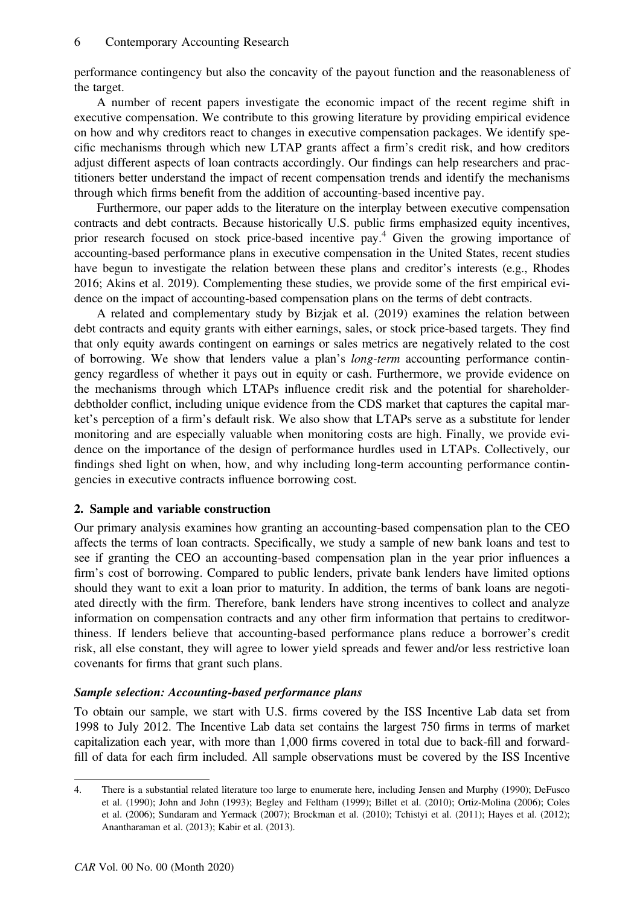performance contingency but also the concavity of the payout function and the reasonableness of the target.

A number of recent papers investigate the economic impact of the recent regime shift in executive compensation. We contribute to this growing literature by providing empirical evidence on how and why creditors react to changes in executive compensation packages. We identify specific mechanisms through which new LTAP grants affect a firm's credit risk, and how creditors adjust different aspects of loan contracts accordingly. Our findings can help researchers and practitioners better understand the impact of recent compensation trends and identify the mechanisms through which firms benefit from the addition of accounting-based incentive pay.

Furthermore, our paper adds to the literature on the interplay between executive compensation contracts and debt contracts. Because historically U.S. public firms emphasized equity incentives, prior research focused on stock price-based incentive pay.4 Given the growing importance of accounting-based performance plans in executive compensation in the United States, recent studies have begun to investigate the relation between these plans and creditor's interests (e.g., Rhodes 2016; Akins et al. 2019). Complementing these studies, we provide some of the first empirical evidence on the impact of accounting-based compensation plans on the terms of debt contracts.

A related and complementary study by Bizjak et al. (2019) examines the relation between debt contracts and equity grants with either earnings, sales, or stock price-based targets. They find that only equity awards contingent on earnings or sales metrics are negatively related to the cost of borrowing. We show that lenders value a plan's long-term accounting performance contingency regardless of whether it pays out in equity or cash. Furthermore, we provide evidence on the mechanisms through which LTAPs influence credit risk and the potential for shareholderdebtholder conflict, including unique evidence from the CDS market that captures the capital market's perception of a firm's default risk. We also show that LTAPs serve as a substitute for lender monitoring and are especially valuable when monitoring costs are high. Finally, we provide evidence on the importance of the design of performance hurdles used in LTAPs. Collectively, our findings shed light on when, how, and why including long-term accounting performance contingencies in executive contracts influence borrowing cost.

## 2. Sample and variable construction

Our primary analysis examines how granting an accounting-based compensation plan to the CEO affects the terms of loan contracts. Specifically, we study a sample of new bank loans and test to see if granting the CEO an accounting-based compensation plan in the year prior influences a firm's cost of borrowing. Compared to public lenders, private bank lenders have limited options should they want to exit a loan prior to maturity. In addition, the terms of bank loans are negotiated directly with the firm. Therefore, bank lenders have strong incentives to collect and analyze information on compensation contracts and any other firm information that pertains to creditworthiness. If lenders believe that accounting-based performance plans reduce a borrower's credit risk, all else constant, they will agree to lower yield spreads and fewer and/or less restrictive loan covenants for firms that grant such plans.

# Sample selection: Accounting-based performance plans

To obtain our sample, we start with U.S. firms covered by the ISS Incentive Lab data set from 1998 to July 2012. The Incentive Lab data set contains the largest 750 firms in terms of market capitalization each year, with more than 1,000 firms covered in total due to back-fill and forwardfill of data for each firm included. All sample observations must be covered by the ISS Incentive

<sup>4.</sup> There is a substantial related literature too large to enumerate here, including Jensen and Murphy (1990); DeFusco et al. (1990); John and John (1993); Begley and Feltham (1999); Billet et al. (2010); Ortiz-Molina (2006); Coles et al. (2006); Sundaram and Yermack (2007); Brockman et al. (2010); Tchistyi et al. (2011); Hayes et al. (2012); Anantharaman et al. (2013); Kabir et al. (2013).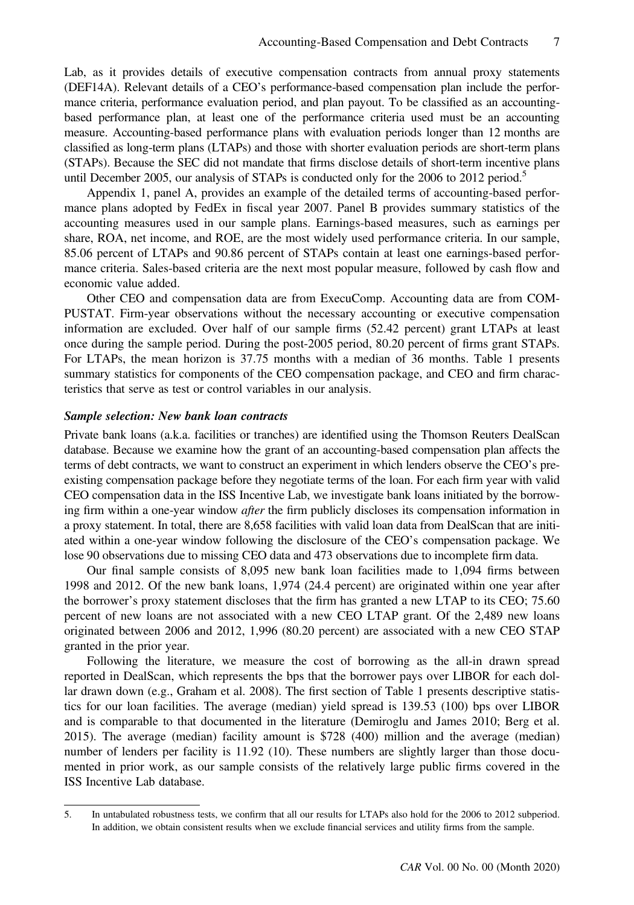Lab, as it provides details of executive compensation contracts from annual proxy statements (DEF14A). Relevant details of a CEO's performance-based compensation plan include the performance criteria, performance evaluation period, and plan payout. To be classified as an accountingbased performance plan, at least one of the performance criteria used must be an accounting measure. Accounting-based performance plans with evaluation periods longer than 12 months are classified as long-term plans (LTAPs) and those with shorter evaluation periods are short-term plans (STAPs). Because the SEC did not mandate that firms disclose details of short-term incentive plans until December 2005, our analysis of STAPs is conducted only for the 2006 to 2012 period.<sup>5</sup>

Appendix 1, panel A, provides an example of the detailed terms of accounting-based performance plans adopted by FedEx in fiscal year 2007. Panel B provides summary statistics of the accounting measures used in our sample plans. Earnings-based measures, such as earnings per share, ROA, net income, and ROE, are the most widely used performance criteria. In our sample, 85.06 percent of LTAPs and 90.86 percent of STAPs contain at least one earnings-based performance criteria. Sales-based criteria are the next most popular measure, followed by cash flow and economic value added.

Other CEO and compensation data are from ExecuComp. Accounting data are from COM-PUSTAT. Firm-year observations without the necessary accounting or executive compensation information are excluded. Over half of our sample firms (52.42 percent) grant LTAPs at least once during the sample period. During the post-2005 period, 80.20 percent of firms grant STAPs. For LTAPs, the mean horizon is 37.75 months with a median of 36 months. Table 1 presents summary statistics for components of the CEO compensation package, and CEO and firm characteristics that serve as test or control variables in our analysis.

#### Sample selection: New bank loan contracts

Private bank loans (a.k.a. facilities or tranches) are identified using the Thomson Reuters DealScan database. Because we examine how the grant of an accounting-based compensation plan affects the terms of debt contracts, we want to construct an experiment in which lenders observe the CEO's preexisting compensation package before they negotiate terms of the loan. For each firm year with valid CEO compensation data in the ISS Incentive Lab, we investigate bank loans initiated by the borrowing firm within a one-year window after the firm publicly discloses its compensation information in a proxy statement. In total, there are 8,658 facilities with valid loan data from DealScan that are initiated within a one-year window following the disclosure of the CEO's compensation package. We lose 90 observations due to missing CEO data and 473 observations due to incomplete firm data.

Our final sample consists of 8,095 new bank loan facilities made to 1,094 firms between 1998 and 2012. Of the new bank loans, 1,974 (24.4 percent) are originated within one year after the borrower's proxy statement discloses that the firm has granted a new LTAP to its CEO; 75.60 percent of new loans are not associated with a new CEO LTAP grant. Of the 2,489 new loans originated between 2006 and 2012, 1,996 (80.20 percent) are associated with a new CEO STAP granted in the prior year.

Following the literature, we measure the cost of borrowing as the all-in drawn spread reported in DealScan, which represents the bps that the borrower pays over LIBOR for each dollar drawn down (e.g., Graham et al. 2008). The first section of Table 1 presents descriptive statistics for our loan facilities. The average (median) yield spread is 139.53 (100) bps over LIBOR and is comparable to that documented in the literature (Demiroglu and James 2010; Berg et al. 2015). The average (median) facility amount is \$728 (400) million and the average (median) number of lenders per facility is 11.92 (10). These numbers are slightly larger than those documented in prior work, as our sample consists of the relatively large public firms covered in the ISS Incentive Lab database.

<sup>5.</sup> In untabulated robustness tests, we confirm that all our results for LTAPs also hold for the 2006 to 2012 subperiod. In addition, we obtain consistent results when we exclude financial services and utility firms from the sample.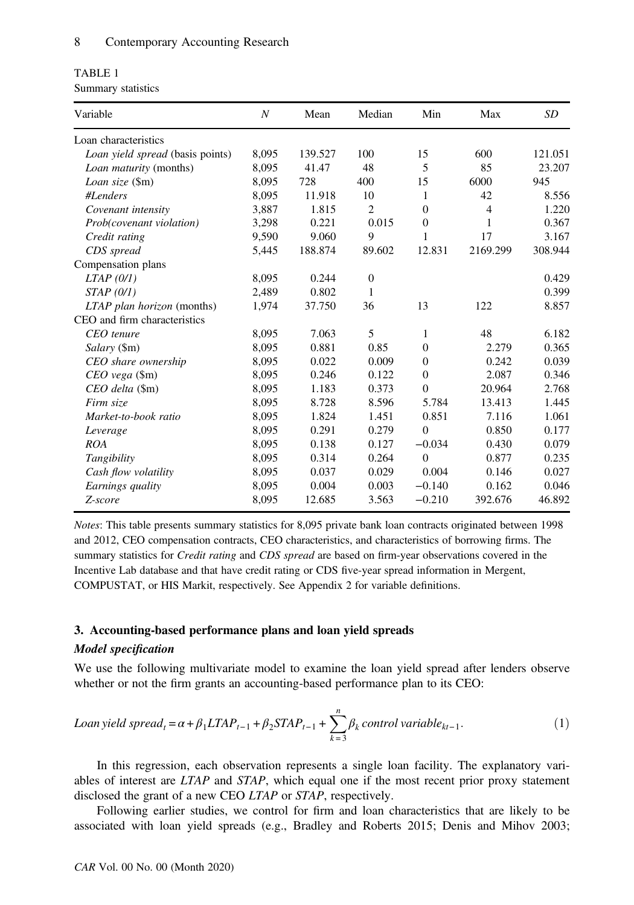| TABLE 1            |  |
|--------------------|--|
| Summary statistics |  |

| Variable                         | $\boldsymbol{N}$ | Mean    | Median         | Min            | Max            | SD      |
|----------------------------------|------------------|---------|----------------|----------------|----------------|---------|
| Loan characteristics             |                  |         |                |                |                |         |
| Loan yield spread (basis points) | 8,095            | 139.527 | 100            | 15             | 600            | 121.051 |
| Loan maturity (months)           | 8,095            | 41.47   | 48             | 5              | 85             | 23.207  |
| Loan size (\$m)                  | 8,095            | 728     | 400            | 15             | 6000           | 945     |
| #Lenders                         | 8,095            | 11.918  | 10             | 1              | 42             | 8.556   |
| Covenant intensity               | 3,887            | 1.815   | $\overline{2}$ | $\overline{0}$ | $\overline{4}$ | 1.220   |
| Prob(covenant violation)         | 3,298            | 0.221   | 0.015          | $\overline{0}$ | 1              | 0.367   |
| Credit rating                    | 9,590            | 9.060   | 9              | 1              | 17             | 3.167   |
| CDS spread                       | 5,445            | 188.874 | 89.602         | 12.831         | 2169.299       | 308.944 |
| Compensation plans               |                  |         |                |                |                |         |
| $LTAP$ (0/1)                     | 8,095            | 0.244   | $\theta$       |                |                | 0.429   |
| STAP(0/I)                        | 2,489            | 0.802   | 1              |                |                | 0.399   |
| LTAP plan horizon (months)       | 1,974            | 37.750  | 36             | 13             | 122            | 8.857   |
| CEO and firm characteristics     |                  |         |                |                |                |         |
| CEO tenure                       | 8,095            | 7.063   | 5              | 1              | 48             | 6.182   |
| Salary (\$m)                     | 8,095            | 0.881   | 0.85           | $\Omega$       | 2.279          | 0.365   |
| CEO share ownership              | 8,095            | 0.022   | 0.009          | $\Omega$       | 0.242          | 0.039   |
| CEO vega (\$m)                   | 8,095            | 0.246   | 0.122          | $\mathbf{0}$   | 2.087          | 0.346   |
| CEO delta (\$m)                  | 8,095            | 1.183   | 0.373          | $\Omega$       | 20.964         | 2.768   |
| Firm size                        | 8,095            | 8.728   | 8.596          | 5.784          | 13.413         | 1.445   |
| Market-to-book ratio             | 8,095            | 1.824   | 1.451          | 0.851          | 7.116          | 1.061   |
| Leverage                         | 8,095            | 0.291   | 0.279          | $\Omega$       | 0.850          | 0.177   |
| ROA                              | 8,095            | 0.138   | 0.127          | $-0.034$       | 0.430          | 0.079   |
| Tangibility                      | 8,095            | 0.314   | 0.264          | $\Omega$       | 0.877          | 0.235   |
| Cash flow volatility             | 8,095            | 0.037   | 0.029          | 0.004          | 0.146          | 0.027   |
| Earnings quality                 | 8,095            | 0.004   | 0.003          | $-0.140$       | 0.162          | 0.046   |
| Z-score                          | 8,095            | 12.685  | 3.563          | $-0.210$       | 392.676        | 46.892  |

Notes: This table presents summary statistics for 8,095 private bank loan contracts originated between 1998 and 2012, CEO compensation contracts, CEO characteristics, and characteristics of borrowing firms. The summary statistics for Credit rating and CDS spread are based on firm-year observations covered in the Incentive Lab database and that have credit rating or CDS five-year spread information in Mergent, COMPUSTAT, or HIS Markit, respectively. See Appendix 2 for variable definitions.

## 3. Accounting-based performance plans and loan yield spreads

## Model specification

We use the following multivariate model to examine the loan yield spread after lenders observe whether or not the firm grants an accounting-based performance plan to its CEO:

$$
Loan yield spread_t = \alpha + \beta_1 L T A P_{t-1} + \beta_2 ST A P_{t-1} + \sum_{k=3}^{n} \beta_k control variable_{kt-1}.
$$
\n<sup>(1)</sup>

In this regression, each observation represents a single loan facility. The explanatory variables of interest are  $LTAP$  and  $STAP$ , which equal one if the most recent prior proxy statement disclosed the grant of a new CEO LTAP or STAP, respectively.

Following earlier studies, we control for firm and loan characteristics that are likely to be associated with loan yield spreads (e.g., Bradley and Roberts 2015; Denis and Mihov 2003;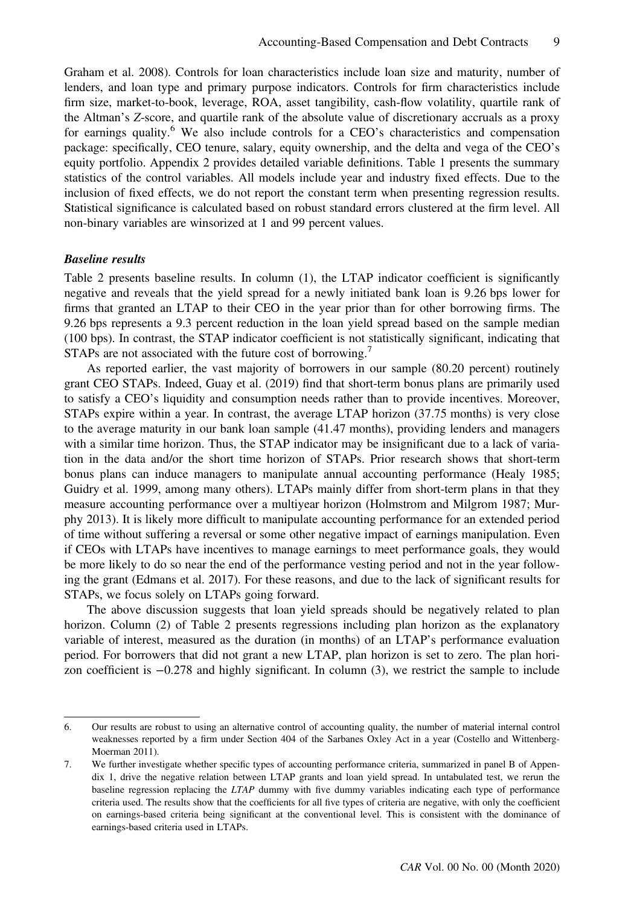Graham et al. 2008). Controls for loan characteristics include loan size and maturity, number of lenders, and loan type and primary purpose indicators. Controls for firm characteristics include firm size, market-to-book, leverage, ROA, asset tangibility, cash-flow volatility, quartile rank of the Altman's Z-score, and quartile rank of the absolute value of discretionary accruals as a proxy for earnings quality.<sup>6</sup> We also include controls for a CEO's characteristics and compensation package: specifically, CEO tenure, salary, equity ownership, and the delta and vega of the CEO's equity portfolio. Appendix 2 provides detailed variable definitions. Table 1 presents the summary statistics of the control variables. All models include year and industry fixed effects. Due to the inclusion of fixed effects, we do not report the constant term when presenting regression results. Statistical significance is calculated based on robust standard errors clustered at the firm level. All non-binary variables are winsorized at 1 and 99 percent values.

#### Baseline results

Table 2 presents baseline results. In column (1), the LTAP indicator coefficient is significantly negative and reveals that the yield spread for a newly initiated bank loan is 9.26 bps lower for firms that granted an LTAP to their CEO in the year prior than for other borrowing firms. The 9.26 bps represents a 9.3 percent reduction in the loan yield spread based on the sample median (100 bps). In contrast, the STAP indicator coefficient is not statistically significant, indicating that STAPs are not associated with the future cost of borrowing.<sup>7</sup>

As reported earlier, the vast majority of borrowers in our sample (80.20 percent) routinely grant CEO STAPs. Indeed, Guay et al. (2019) find that short-term bonus plans are primarily used to satisfy a CEO's liquidity and consumption needs rather than to provide incentives. Moreover, STAPs expire within a year. In contrast, the average LTAP horizon (37.75 months) is very close to the average maturity in our bank loan sample (41.47 months), providing lenders and managers with a similar time horizon. Thus, the STAP indicator may be insignificant due to a lack of variation in the data and/or the short time horizon of STAPs. Prior research shows that short-term bonus plans can induce managers to manipulate annual accounting performance (Healy 1985; Guidry et al. 1999, among many others). LTAPs mainly differ from short-term plans in that they measure accounting performance over a multiyear horizon (Holmstrom and Milgrom 1987; Murphy 2013). It is likely more difficult to manipulate accounting performance for an extended period of time without suffering a reversal or some other negative impact of earnings manipulation. Even if CEOs with LTAPs have incentives to manage earnings to meet performance goals, they would be more likely to do so near the end of the performance vesting period and not in the year following the grant (Edmans et al. 2017). For these reasons, and due to the lack of significant results for STAPs, we focus solely on LTAPs going forward.

The above discussion suggests that loan yield spreads should be negatively related to plan horizon. Column (2) of Table 2 presents regressions including plan horizon as the explanatory variable of interest, measured as the duration (in months) of an LTAP's performance evaluation period. For borrowers that did not grant a new LTAP, plan horizon is set to zero. The plan horizon coefficient is −0.278 and highly significant. In column (3), we restrict the sample to include

<sup>6.</sup> Our results are robust to using an alternative control of accounting quality, the number of material internal control weaknesses reported by a firm under Section 404 of the Sarbanes Oxley Act in a year (Costello and Wittenberg-Moerman 2011).

<sup>7.</sup> We further investigate whether specific types of accounting performance criteria, summarized in panel B of Appendix 1, drive the negative relation between LTAP grants and loan yield spread. In untabulated test, we rerun the baseline regression replacing the LTAP dummy with five dummy variables indicating each type of performance criteria used. The results show that the coefficients for all five types of criteria are negative, with only the coefficient on earnings-based criteria being significant at the conventional level. This is consistent with the dominance of earnings-based criteria used in LTAPs.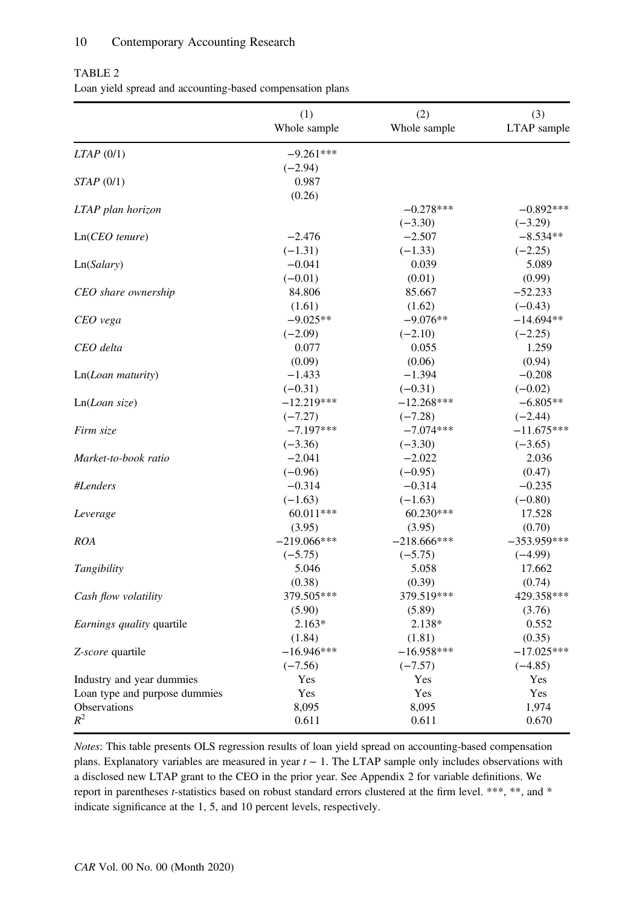### 10 Contemporary Accounting Research

|                                  | (1)<br>Whole sample | (2)<br>Whole sample | (3)<br>LTAP sample |
|----------------------------------|---------------------|---------------------|--------------------|
| $LTAP$ (0/1)                     | $-9.261***$         |                     |                    |
|                                  | $(-2.94)$           |                     |                    |
| STAP(0/1)                        | 0.987               |                     |                    |
|                                  | (0.26)              |                     |                    |
| LTAP plan horizon                |                     | $-0.278***$         | $-0.892***$        |
|                                  |                     | $(-3.30)$           | $(-3.29)$          |
| $Ln(CEO$ tenure)                 | $-2.476$            | $-2.507$            | $-8.534**$         |
|                                  | $(-1.31)$           | $(-1.33)$           | $(-2.25)$          |
| Ln(Salary)                       | $-0.041$            | 0.039               | 5.089              |
|                                  | $(-0.01)$           | (0.01)              | (0.99)             |
| CEO share ownership              | 84.806              | 85.667              | $-52.233$          |
|                                  | (1.61)              | (1.62)              | $(-0.43)$          |
| CEO vega                         | $-9.025**$          | $-9.076**$          | $-14.694**$        |
|                                  | $(-2.09)$           | $(-2.10)$           | $(-2.25)$          |
| CEO delta                        | 0.077               | 0.055               | 1.259              |
|                                  | (0.09)              | (0.06)              | (0.94)             |
| Ln(Loan matrix)                  | $-1.433$            | $-1.394$            | $-0.208$           |
|                                  | $(-0.31)$           | $(-0.31)$           | $(-0.02)$          |
| Ln(Loan size)                    | $-12.219***$        | $-12.268***$        | $-6.805**$         |
|                                  | $(-7.27)$           | $(-7.28)$           | $(-2.44)$          |
| Firm size                        | $-7.197***$         | $-7.074***$         | $-11.675***$       |
|                                  | $(-3.36)$           | $(-3.30)$           | $(-3.65)$          |
| Market-to-book ratio             | $-2.041$            | $-2.022$            | 2.036              |
|                                  | $(-0.96)$           | $(-0.95)$           | (0.47)             |
| #Lenders                         | $-0.314$            | $-0.314$            | $-0.235$           |
|                                  | $(-1.63)$           | $(-1.63)$           | $(-0.80)$          |
| Leverage                         | 60.011***           | 60.230***           | 17.528             |
|                                  | (3.95)              | (3.95)              | (0.70)             |
| <i>ROA</i>                       | $-219.066***$       | $-218.666***$       | $-353.959***$      |
|                                  | $(-5.75)$           | $(-5.75)$           | $(-4.99)$          |
| Tangibility                      | 5.046               | 5.058               | 17.662             |
|                                  | (0.38)              | (0.39)              | (0.74)             |
| Cash flow volatility             | 379.505***          | 379.519***          | 429.358***         |
|                                  | (5.90)              | (5.89)              | (3.76)             |
| <i>Earnings quality</i> quartile | $2.163*$            | 2.138*              | 0.552              |
|                                  | (1.84)              | (1.81)              | (0.35)             |
| Z-score quartile                 | $-16.946***$        | $-16.958***$        | $-17.025***$       |
|                                  | $(-7.56)$           | $(-7.57)$           | $(-4.85)$          |
| Industry and year dummies        | Yes                 | Yes                 | Yes                |
| Loan type and purpose dummies    | Yes                 | Yes                 | Yes                |
| Observations                     | 8,095               | 8,095               | 1,974              |
| $R^2$                            | 0.611               | 0.611               | 0.670              |

### TABLE 2 Loan yield spread and accounting-based compensation plans

Notes: This table presents OLS regression results of loan yield spread on accounting-based compensation plans. Explanatory variables are measured in year  $t - 1$ . The LTAP sample only includes observations with a disclosed new LTAP grant to the CEO in the prior year. See Appendix 2 for variable definitions. We report in parentheses t-statistics based on robust standard errors clustered at the firm level. \*\*\*, \*\*, and \* indicate significance at the 1, 5, and 10 percent levels, respectively.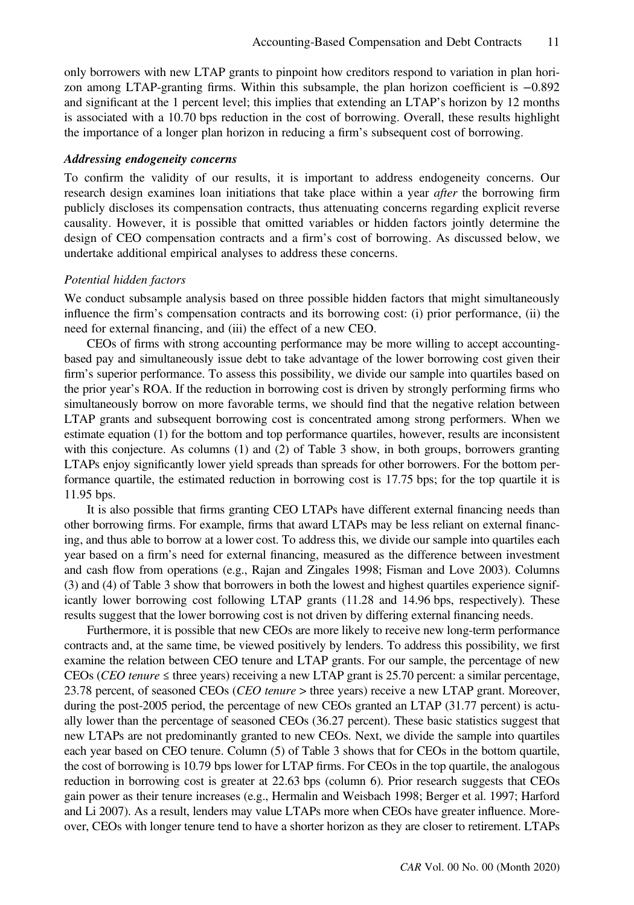only borrowers with new LTAP grants to pinpoint how creditors respond to variation in plan horizon among LTAP-granting firms. Within this subsample, the plan horizon coefficient is −0.892 and significant at the 1 percent level; this implies that extending an LTAP's horizon by 12 months is associated with a 10.70 bps reduction in the cost of borrowing. Overall, these results highlight the importance of a longer plan horizon in reducing a firm's subsequent cost of borrowing.

#### Addressing endogeneity concerns

To confirm the validity of our results, it is important to address endogeneity concerns. Our research design examines loan initiations that take place within a year *after* the borrowing firm publicly discloses its compensation contracts, thus attenuating concerns regarding explicit reverse causality. However, it is possible that omitted variables or hidden factors jointly determine the design of CEO compensation contracts and a firm's cost of borrowing. As discussed below, we undertake additional empirical analyses to address these concerns.

#### Potential hidden factors

We conduct subsample analysis based on three possible hidden factors that might simultaneously influence the firm's compensation contracts and its borrowing cost: (i) prior performance, (ii) the need for external financing, and (iii) the effect of a new CEO.

CEOs of firms with strong accounting performance may be more willing to accept accountingbased pay and simultaneously issue debt to take advantage of the lower borrowing cost given their firm's superior performance. To assess this possibility, we divide our sample into quartiles based on the prior year's ROA. If the reduction in borrowing cost is driven by strongly performing firms who simultaneously borrow on more favorable terms, we should find that the negative relation between LTAP grants and subsequent borrowing cost is concentrated among strong performers. When we estimate equation (1) for the bottom and top performance quartiles, however, results are inconsistent with this conjecture. As columns (1) and (2) of Table 3 show, in both groups, borrowers granting LTAPs enjoy significantly lower yield spreads than spreads for other borrowers. For the bottom performance quartile, the estimated reduction in borrowing cost is 17.75 bps; for the top quartile it is 11.95 bps.

It is also possible that firms granting CEO LTAPs have different external financing needs than other borrowing firms. For example, firms that award LTAPs may be less reliant on external financing, and thus able to borrow at a lower cost. To address this, we divide our sample into quartiles each year based on a firm's need for external financing, measured as the difference between investment and cash flow from operations (e.g., Rajan and Zingales 1998; Fisman and Love 2003). Columns (3) and (4) of Table 3 show that borrowers in both the lowest and highest quartiles experience significantly lower borrowing cost following LTAP grants (11.28 and 14.96 bps, respectively). These results suggest that the lower borrowing cost is not driven by differing external financing needs.

Furthermore, it is possible that new CEOs are more likely to receive new long-term performance contracts and, at the same time, be viewed positively by lenders. To address this possibility, we first examine the relation between CEO tenure and LTAP grants. For our sample, the percentage of new CEOs (CEO tenure  $\leq$  three years) receiving a new LTAP grant is 25.70 percent: a similar percentage, 23.78 percent, of seasoned CEOs (CEO tenure > three years) receive a new LTAP grant. Moreover, during the post-2005 period, the percentage of new CEOs granted an LTAP (31.77 percent) is actually lower than the percentage of seasoned CEOs (36.27 percent). These basic statistics suggest that new LTAPs are not predominantly granted to new CEOs. Next, we divide the sample into quartiles each year based on CEO tenure. Column (5) of Table 3 shows that for CEOs in the bottom quartile, the cost of borrowing is 10.79 bps lower for LTAP firms. For CEOs in the top quartile, the analogous reduction in borrowing cost is greater at 22.63 bps (column 6). Prior research suggests that CEOs gain power as their tenure increases (e.g., Hermalin and Weisbach 1998; Berger et al. 1997; Harford and Li 2007). As a result, lenders may value LTAPs more when CEOs have greater influence. Moreover, CEOs with longer tenure tend to have a shorter horizon as they are closer to retirement. LTAPs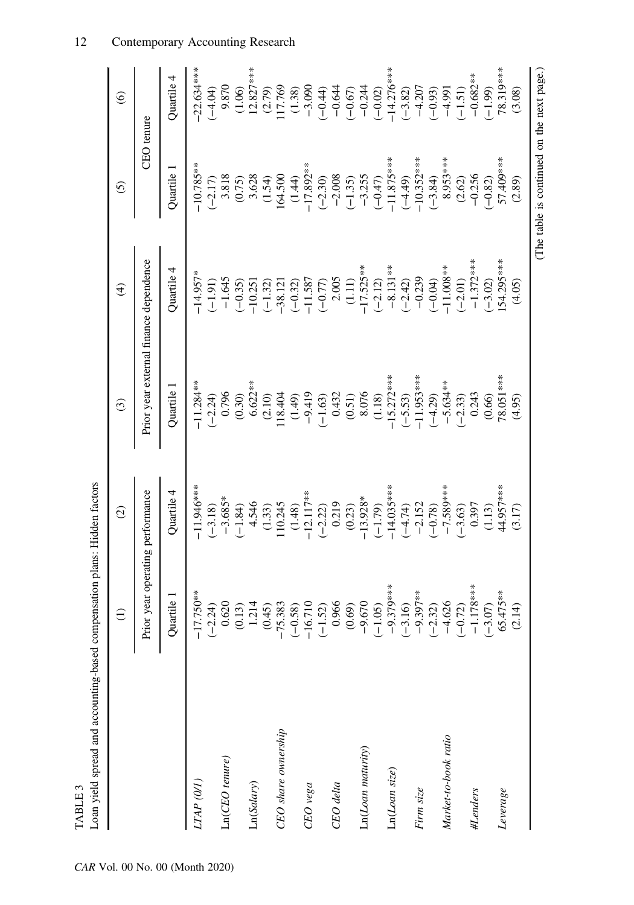| $-11.946***$<br>$-14.035***$<br>Prior year operating performance<br>Quartile 4<br>$-12.117**$<br>$-13.928*$<br>$-3.685*$<br>4.546<br>0.219<br>$-2.152$<br>110.245<br>$(-3.18)$<br>$(-1.84)$<br>(1.33)<br>(0.23)<br>$(-1.79)$<br>$(-4.74)$<br>(1.48)<br>$(-2.22)$<br>$17.750**$<br>$-17.750**$<br>$-2.24$<br>$-16.52$<br>$-16.710$<br>$-16.710$<br>$-16.710$<br>$-16.710$<br>$-16.72$<br>$-16.73$<br>$-16.73$<br>$-16.73$<br>$-16.73$<br>$-16.73$<br>$-16.73$<br>$-16.73$<br>$-16.73$<br>$-16.73$<br>$-16.73$<br>$-16.73$<br>$-16.73$<br>$-16.$<br>Quartile 1<br>CEO share ownership<br>Ln(Loan maturity)<br>Ln(CEO tenure)<br>Ln(Loan size)<br>LTAP (0/1)<br>Ln(Salary)<br>CEO delta<br>$CEO$ $\nu e g a$<br>Firm size |           | Prior year external finance dependence<br>$-11.284**$<br>$6.622**$<br>Quartile 1<br>0.796<br>$(-2.24)$<br>(0.30)<br>$(2.10)$ | Quartile 4<br>$-14.957*$<br>$-1.645$<br>$(-1.91)$ |                    |                  |
|------------------------------------------------------------------------------------------------------------------------------------------------------------------------------------------------------------------------------------------------------------------------------------------------------------------------------------------------------------------------------------------------------------------------------------------------------------------------------------------------------------------------------------------------------------------------------------------------------------------------------------------------------------------------------------------------------------------------|-----------|------------------------------------------------------------------------------------------------------------------------------|---------------------------------------------------|--------------------|------------------|
|                                                                                                                                                                                                                                                                                                                                                                                                                                                                                                                                                                                                                                                                                                                        |           |                                                                                                                              |                                                   | <b>CEO</b> tenure  |                  |
|                                                                                                                                                                                                                                                                                                                                                                                                                                                                                                                                                                                                                                                                                                                        |           |                                                                                                                              |                                                   | Quartile 1         | Quartile 4       |
|                                                                                                                                                                                                                                                                                                                                                                                                                                                                                                                                                                                                                                                                                                                        |           |                                                                                                                              |                                                   | $-10.785**$        | $-22.634***$     |
|                                                                                                                                                                                                                                                                                                                                                                                                                                                                                                                                                                                                                                                                                                                        |           |                                                                                                                              |                                                   | 3.818<br>$(-2.17)$ | 9.870<br>$-4.04$ |
|                                                                                                                                                                                                                                                                                                                                                                                                                                                                                                                                                                                                                                                                                                                        |           |                                                                                                                              | $(-0.35)$                                         | (0.75)             | (1.06)           |
|                                                                                                                                                                                                                                                                                                                                                                                                                                                                                                                                                                                                                                                                                                                        |           |                                                                                                                              | $-10.251$                                         | 3.628              | $12.827***$      |
|                                                                                                                                                                                                                                                                                                                                                                                                                                                                                                                                                                                                                                                                                                                        |           |                                                                                                                              | $(-1.32)$                                         | (1.54)             | (2.79)           |
|                                                                                                                                                                                                                                                                                                                                                                                                                                                                                                                                                                                                                                                                                                                        |           | 118.404                                                                                                                      | $-38.121$                                         | 164.500            | 117.769          |
|                                                                                                                                                                                                                                                                                                                                                                                                                                                                                                                                                                                                                                                                                                                        |           | (1.49)                                                                                                                       | $(-0.32)$                                         | (1.44)             | (1.38)           |
|                                                                                                                                                                                                                                                                                                                                                                                                                                                                                                                                                                                                                                                                                                                        |           | $-9.419$                                                                                                                     | $-11.587$                                         | $-17.892**$        | $-3.090$         |
|                                                                                                                                                                                                                                                                                                                                                                                                                                                                                                                                                                                                                                                                                                                        |           | $(-1.63)$                                                                                                                    | $(-0.77)$                                         | $(-2.30)$          | $(-0.44)$        |
|                                                                                                                                                                                                                                                                                                                                                                                                                                                                                                                                                                                                                                                                                                                        |           | 0.432                                                                                                                        | 2.005                                             | $-2.008$           | $-0.644$         |
|                                                                                                                                                                                                                                                                                                                                                                                                                                                                                                                                                                                                                                                                                                                        |           | (0.51)                                                                                                                       | (1.11)                                            | $(-1.35)$          | $(-0.67)$        |
|                                                                                                                                                                                                                                                                                                                                                                                                                                                                                                                                                                                                                                                                                                                        |           | 8.076                                                                                                                        | $-17.525**$                                       | $-3.255$           | $-0.244$         |
|                                                                                                                                                                                                                                                                                                                                                                                                                                                                                                                                                                                                                                                                                                                        |           | (1.18)                                                                                                                       | $(-2.12)$                                         | $(-0.47)$          | $(-0.02)$        |
|                                                                                                                                                                                                                                                                                                                                                                                                                                                                                                                                                                                                                                                                                                                        |           | $-15.272***$                                                                                                                 | $-8.131**$                                        | $-11.875***$       | $-14.276***$     |
|                                                                                                                                                                                                                                                                                                                                                                                                                                                                                                                                                                                                                                                                                                                        |           | $(-5.53)$                                                                                                                    | $(-2.42)$                                         | $(-4.49)$          | $(-3.82)$        |
|                                                                                                                                                                                                                                                                                                                                                                                                                                                                                                                                                                                                                                                                                                                        |           | $-11.953***$                                                                                                                 | $-0.239$                                          | $-10.352***$       | $-4.207$         |
|                                                                                                                                                                                                                                                                                                                                                                                                                                                                                                                                                                                                                                                                                                                        | $(-0.78)$ | $(-4.29)$                                                                                                                    | $(-0.04)$                                         | $(-3.84)$          | $(-0.93)$        |
| $-7.589***$<br>Market-to-book ratio                                                                                                                                                                                                                                                                                                                                                                                                                                                                                                                                                                                                                                                                                    |           | $-5.634**$                                                                                                                   | $-11.008**$                                       | 8.953***           | $-4.991$         |
| $(-3.63)$                                                                                                                                                                                                                                                                                                                                                                                                                                                                                                                                                                                                                                                                                                              |           | $(-2.33)$                                                                                                                    | $(-2.01)$                                         | (2.62)             | $(-1.51)$        |
| 0.397<br>#Lenders                                                                                                                                                                                                                                                                                                                                                                                                                                                                                                                                                                                                                                                                                                      |           | 0.243                                                                                                                        | $-1.372***$                                       | $-0.256$           | $-0.682**$       |
| (1.13)                                                                                                                                                                                                                                                                                                                                                                                                                                                                                                                                                                                                                                                                                                                 |           | (0.66)                                                                                                                       | $(-3.02)$                                         | $(-0.82)$          | $-1.99$          |
| 44.957***<br>Leverage                                                                                                                                                                                                                                                                                                                                                                                                                                                                                                                                                                                                                                                                                                  |           | 78.051***                                                                                                                    | 54.295***                                         | 57.409****         | 78.319***        |
| (3.17)                                                                                                                                                                                                                                                                                                                                                                                                                                                                                                                                                                                                                                                                                                                 |           | (4.95)                                                                                                                       | (4.05)                                            | (2.89)             | (3.08)           |

12 Contemporary Accounting Research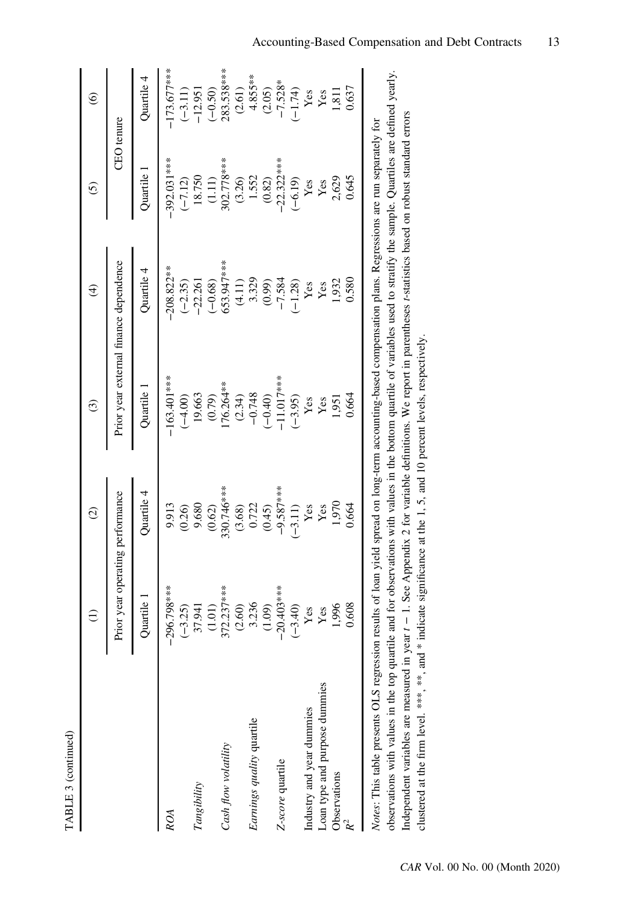| ς |  |
|---|--|
|   |  |
|   |  |
|   |  |
|   |  |
|   |  |
|   |  |

|                               | Ξ                                | $\widehat{c}$ | $\odot$                                | $\widehat{\mathcal{F}}$ | $\odot$           | $\odot$        |
|-------------------------------|----------------------------------|---------------|----------------------------------------|-------------------------|-------------------|----------------|
|                               | Prior year operating performance |               | Prior year external finance dependence |                         | <b>CEO</b> tenure |                |
|                               | Quartile                         | Quartile 4    | Quartile                               | Quartile 4              | Quartile          | Quartile 4     |
| <b>ROA</b>                    | 96.798***<br>ှ                   | 9.913         | $-163.401***$                          | $-208.822**$            | $-392.031***$     | $-173.677***$  |
|                               | $-3.25$                          | (0.26)        | $(-4.00)$                              | $(-2.35)$               | $(-7.12)$         | $(-3.11)$      |
| Tangibility                   | 37.941                           | 9.680         | 19.663                                 | $-22.261$               | 18.750            | $-12.951$      |
|                               | (1.01)                           | (0.62)        | (0.79)                                 | $(-0.68)$               | (1.11)            | $(-0.50)$      |
| Cash flow volatility          | 72.237***                        | 330.746***    | 176.264**                              | 653.947***              | 302.778***        | 283.538***     |
|                               | (2.60)                           | (3.68)        | (2.34)                                 | (4.11)                  | (3.26)            | (2.61)         |
| Earnings quality quartile     | 3.236                            | 0.722         | $-0.748$                               | 3.329                   | 1.552             | $4.855***$     |
|                               | (1.09)                           | (0.45)        | $(-0.40)$                              | (0.99)                  | (0.82)            | (2.05)         |
| Z-score quartile              | 20.403****<br>I                  | $-9.587***$   | $-11.017$ ***                          | $-7.584$                | $-22.322***$      | $-7.528*$      |
|                               | $-3.40$                          | $(-3.11)$     | $(-3.95)$                              | $(-1.28)$               | $(-6.19)$         | $-1.74$        |
| Industry and year dummies     | Yes                              | Yes           | Yes                                    | Yes                     | Yes               | $\mathbf{Yes}$ |
| Loan type and purpose dummies | Yes                              | Yes           | Yes                                    | Yes                     | Yes               | Yes            |
| Observations                  | 1,996                            | 1,970         | 1,951                                  | 1,932                   | 2,629             | 1,811          |
|                               | 0.608                            | 0.664         | 0.664                                  | 0.580                   | 0.645             | 0.637          |

observations with values in the top quartile and for observations with values in the bottom quartile of variables used to stratify the sample. Quartiles are defined yearly. observations with values in the top quartile and for observations with values in the bottom quartile of variables used to stratify the sample. Quartiles are defined yearly. Independent variables are measured in year t - 1. See Appendix 2 for variable definitions. We report in parentheses t-statistics based on robust standard errors Independent variables are measured in year t − 1. See Appendix 2 for variable definitions. We report in parentheses t-statistics based on robust standard errors clustered at the firm level. \*\*\*, \*\*, and \* indicate significance at the 1, 5, and 10 percent levels, respectively, clustered at the firm level. \*\*\*, \*\*, and \* indicate significance at the 1, 5, and 10 percent levels, respectively.

CAR Vol. 00 No. 00 (Month 2020)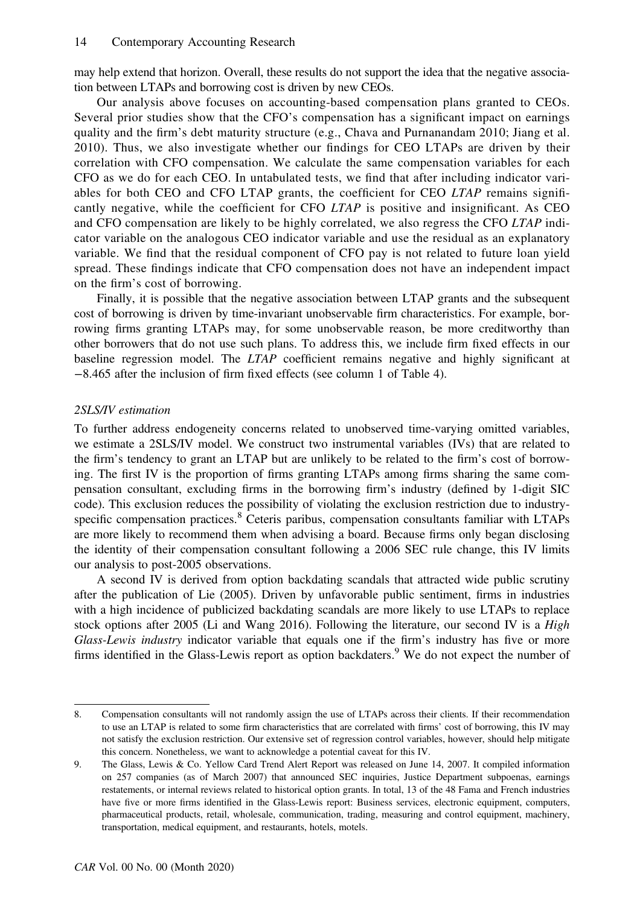may help extend that horizon. Overall, these results do not support the idea that the negative association between LTAPs and borrowing cost is driven by new CEOs.

Our analysis above focuses on accounting-based compensation plans granted to CEOs. Several prior studies show that the CFO's compensation has a significant impact on earnings quality and the firm's debt maturity structure (e.g., Chava and Purnanandam 2010; Jiang et al. 2010). Thus, we also investigate whether our findings for CEO LTAPs are driven by their correlation with CFO compensation. We calculate the same compensation variables for each CFO as we do for each CEO. In untabulated tests, we find that after including indicator variables for both CEO and CFO LTAP grants, the coefficient for CEO LTAP remains significantly negative, while the coefficient for CFO LTAP is positive and insignificant. As CEO and CFO compensation are likely to be highly correlated, we also regress the CFO LTAP indicator variable on the analogous CEO indicator variable and use the residual as an explanatory variable. We find that the residual component of CFO pay is not related to future loan yield spread. These findings indicate that CFO compensation does not have an independent impact on the firm's cost of borrowing.

Finally, it is possible that the negative association between LTAP grants and the subsequent cost of borrowing is driven by time-invariant unobservable firm characteristics. For example, borrowing firms granting LTAPs may, for some unobservable reason, be more creditworthy than other borrowers that do not use such plans. To address this, we include firm fixed effects in our baseline regression model. The LTAP coefficient remains negative and highly significant at −8.465 after the inclusion of firm fixed effects (see column 1 of Table 4).

#### 2SLS/IV estimation

To further address endogeneity concerns related to unobserved time-varying omitted variables, we estimate a 2SLS/IV model. We construct two instrumental variables (IVs) that are related to the firm's tendency to grant an LTAP but are unlikely to be related to the firm's cost of borrowing. The first IV is the proportion of firms granting LTAPs among firms sharing the same compensation consultant, excluding firms in the borrowing firm's industry (defined by 1-digit SIC code). This exclusion reduces the possibility of violating the exclusion restriction due to industryspecific compensation practices.<sup>8</sup> Ceteris paribus, compensation consultants familiar with LTAPs are more likely to recommend them when advising a board. Because firms only began disclosing the identity of their compensation consultant following a 2006 SEC rule change, this IV limits our analysis to post-2005 observations.

A second IV is derived from option backdating scandals that attracted wide public scrutiny after the publication of Lie (2005). Driven by unfavorable public sentiment, firms in industries with a high incidence of publicized backdating scandals are more likely to use LTAPs to replace stock options after 2005 (Li and Wang 2016). Following the literature, our second IV is a High Glass-Lewis industry indicator variable that equals one if the firm's industry has five or more firms identified in the Glass-Lewis report as option backdaters.<sup>9</sup> We do not expect the number of

<sup>8.</sup> Compensation consultants will not randomly assign the use of LTAPs across their clients. If their recommendation to use an LTAP is related to some firm characteristics that are correlated with firms' cost of borrowing, this IV may not satisfy the exclusion restriction. Our extensive set of regression control variables, however, should help mitigate this concern. Nonetheless, we want to acknowledge a potential caveat for this IV.

<sup>9.</sup> The Glass, Lewis & Co. Yellow Card Trend Alert Report was released on June 14, 2007. It compiled information on 257 companies (as of March 2007) that announced SEC inquiries, Justice Department subpoenas, earnings restatements, or internal reviews related to historical option grants. In total, 13 of the 48 Fama and French industries have five or more firms identified in the Glass-Lewis report: Business services, electronic equipment, computers, pharmaceutical products, retail, wholesale, communication, trading, measuring and control equipment, machinery, transportation, medical equipment, and restaurants, hotels, motels.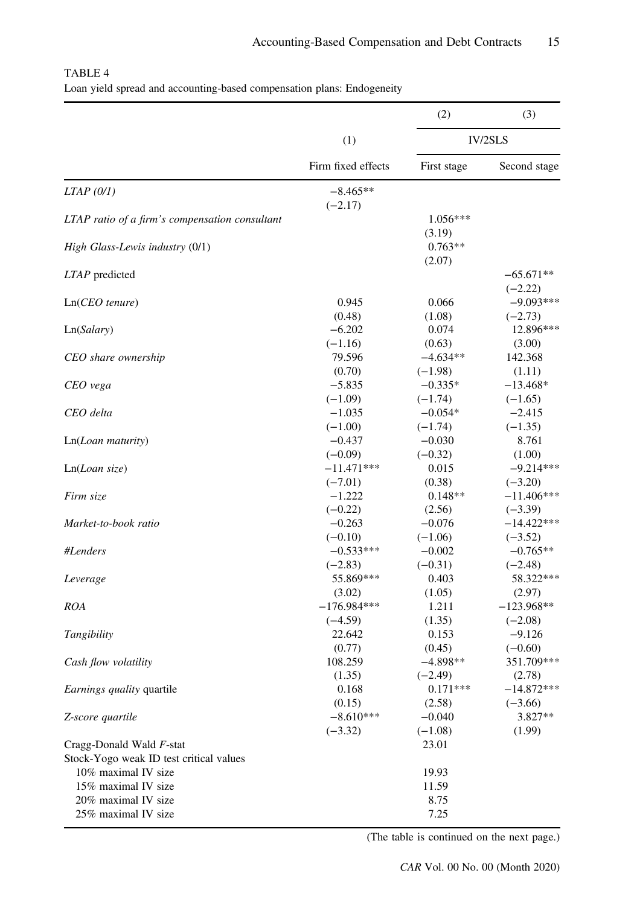|                                                |                         | (2)                  | (3)                      |
|------------------------------------------------|-------------------------|----------------------|--------------------------|
|                                                | (1)                     |                      | <b>IV/2SLS</b>           |
|                                                | Firm fixed effects      | First stage          | Second stage             |
| $LTAP$ (0/1)                                   | $-8.465**$<br>$(-2.17)$ |                      |                          |
| LTAP ratio of a firm's compensation consultant |                         | $1.056***$<br>(3.19) |                          |
| High Glass-Lewis industry (0/1)                |                         | $0.763**$<br>(2.07)  |                          |
| LTAP predicted                                 |                         |                      | $-65.671**$<br>$(-2.22)$ |
| $Ln(CEO$ tenure)                               | 0.945                   | 0.066                | $-9.093***$              |
|                                                | (0.48)                  | (1.08)               | $(-2.73)$                |
| Ln(Salary)                                     | $-6.202$                | 0.074                | 12.896***                |
|                                                | $(-1.16)$               | (0.63)               | (3.00)                   |
| CEO share ownership                            | 79.596                  | $-4.634**$           | 142.368                  |
|                                                | (0.70)                  | $(-1.98)$            | (1.11)                   |
| CEO vega                                       | $-5.835$                | $-0.335*$            | $-13.468*$               |
|                                                | $(-1.09)$               | $(-1.74)$            | $(-1.65)$                |
| CEO delta                                      | $-1.035$                | $-0.054*$            | $-2.415$                 |
|                                                | $(-1.00)$               | $(-1.74)$            | $(-1.35)$                |
| Ln(Loan maturity)                              | $-0.437$                | $-0.030$             | 8.761                    |
|                                                | $(-0.09)$               | $(-0.32)$            | (1.00)                   |
| Ln(Loan size)                                  | $-11.471***$            | 0.015                | $-9.214***$              |
|                                                | $(-7.01)$               | (0.38)               | $(-3.20)$                |
| Firm size                                      | $-1.222$                | $0.148**$            | $-11.406***$             |
|                                                | $(-0.22)$               | (2.56)               | $(-3.39)$                |
| Market-to-book ratio                           | $-0.263$                | $-0.076$             | $-14.422***$             |
|                                                | $(-0.10)$               | $(-1.06)$            | $(-3.52)$                |
| #Lenders                                       | $-0.533***$             | $-0.002$             | $-0.765**$               |
|                                                | $(-2.83)$               | $(-0.31)$            | $(-2.48)$                |
| Leverage                                       | 55.869***               | 0.403                | 58.322***                |
|                                                | (3.02)                  | (1.05)               | (2.97)                   |
| ROA                                            | $-176.984***$           | 1.211                | $-123.968**$             |
|                                                | $(-4.59)$               | (1.35)               | $(-2.08)$                |
| Tangibility                                    | 22.642                  | 0.153                | $-9.126$                 |
|                                                | (0.77)                  | (0.45)               | $(-0.60)$                |
| Cash flow volatility                           | 108.259                 | $-4.898**$           | 351.709***               |
|                                                | (1.35)                  | $(-2.49)$            | (2.78)                   |
| Earnings quality quartile                      | 0.168                   | $0.171***$           | $-14.872***$             |
|                                                | (0.15)                  | (2.58)               | $(-3.66)$                |
| Z-score quartile                               | $-8.610***$             | $-0.040$             | 3.827**                  |
|                                                | $(-3.32)$               | $(-1.08)$            | (1.99)                   |
| Cragg-Donald Wald F-stat                       |                         | 23.01                |                          |
| Stock-Yogo weak ID test critical values        |                         |                      |                          |
| 10% maximal IV size                            |                         | 19.93                |                          |
| 15% maximal IV size                            |                         | 11.59                |                          |
| 20% maximal IV size                            |                         | 8.75                 |                          |
| 25% maximal IV size                            |                         | 7.25                 |                          |

| TABLE 4 |                                                                        |  |  |
|---------|------------------------------------------------------------------------|--|--|
|         | Loan yield spread and accounting-based compensation plans: Endogeneity |  |  |

(The table is continued on the next page.)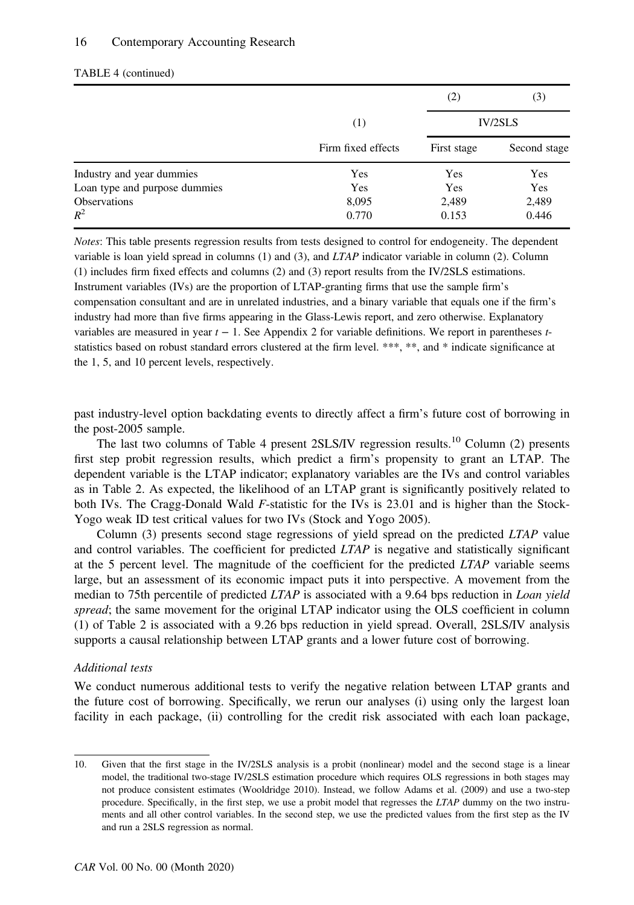#### 16 Contemporary Accounting Research

|                               |                    | (2)         | (3)            |
|-------------------------------|--------------------|-------------|----------------|
|                               | (1)                |             | <b>IV/2SLS</b> |
|                               | Firm fixed effects | First stage | Second stage   |
| Industry and year dummies     | Yes                | Yes         | Yes            |
| Loan type and purpose dummies | Yes                | Yes         | Yes            |
| <b>Observations</b>           | 8,095              | 2,489       | 2,489          |
| $R^2$                         | 0.770              | 0.153       | 0.446          |

#### TABLE 4 (continued)

Notes: This table presents regression results from tests designed to control for endogeneity. The dependent variable is loan yield spread in columns (1) and (3), and LTAP indicator variable in column (2). Column (1) includes firm fixed effects and columns (2) and (3) report results from the IV/2SLS estimations. Instrument variables (IVs) are the proportion of LTAP-granting firms that use the sample firm's compensation consultant and are in unrelated industries, and a binary variable that equals one if the firm's industry had more than five firms appearing in the Glass-Lewis report, and zero otherwise. Explanatory variables are measured in year  $t - 1$ . See Appendix 2 for variable definitions. We report in parentheses  $t$ statistics based on robust standard errors clustered at the firm level. \*\*\*, \*\*, and \* indicate significance at the 1, 5, and 10 percent levels, respectively.

past industry-level option backdating events to directly affect a firm's future cost of borrowing in the post-2005 sample.

The last two columns of Table 4 present 2SLS/IV regression results.<sup>10</sup> Column (2) presents first step probit regression results, which predict a firm's propensity to grant an LTAP. The dependent variable is the LTAP indicator; explanatory variables are the IVs and control variables as in Table 2. As expected, the likelihood of an LTAP grant is significantly positively related to both IVs. The Cragg-Donald Wald F-statistic for the IVs is 23.01 and is higher than the Stock-Yogo weak ID test critical values for two IVs (Stock and Yogo 2005).

Column (3) presents second stage regressions of yield spread on the predicted LTAP value and control variables. The coefficient for predicted LTAP is negative and statistically significant at the 5 percent level. The magnitude of the coefficient for the predicted LTAP variable seems large, but an assessment of its economic impact puts it into perspective. A movement from the median to 75th percentile of predicted LTAP is associated with a 9.64 bps reduction in Loan yield spread; the same movement for the original LTAP indicator using the OLS coefficient in column (1) of Table 2 is associated with a 9.26 bps reduction in yield spread. Overall, 2SLS/IV analysis supports a causal relationship between LTAP grants and a lower future cost of borrowing.

#### Additional tests

We conduct numerous additional tests to verify the negative relation between LTAP grants and the future cost of borrowing. Specifically, we rerun our analyses (i) using only the largest loan facility in each package, (ii) controlling for the credit risk associated with each loan package,

<sup>10.</sup> Given that the first stage in the IV/2SLS analysis is a probit (nonlinear) model and the second stage is a linear model, the traditional two-stage IV/2SLS estimation procedure which requires OLS regressions in both stages may not produce consistent estimates (Wooldridge 2010). Instead, we follow Adams et al. (2009) and use a two-step procedure. Specifically, in the first step, we use a probit model that regresses the LTAP dummy on the two instruments and all other control variables. In the second step, we use the predicted values from the first step as the IV and run a 2SLS regression as normal.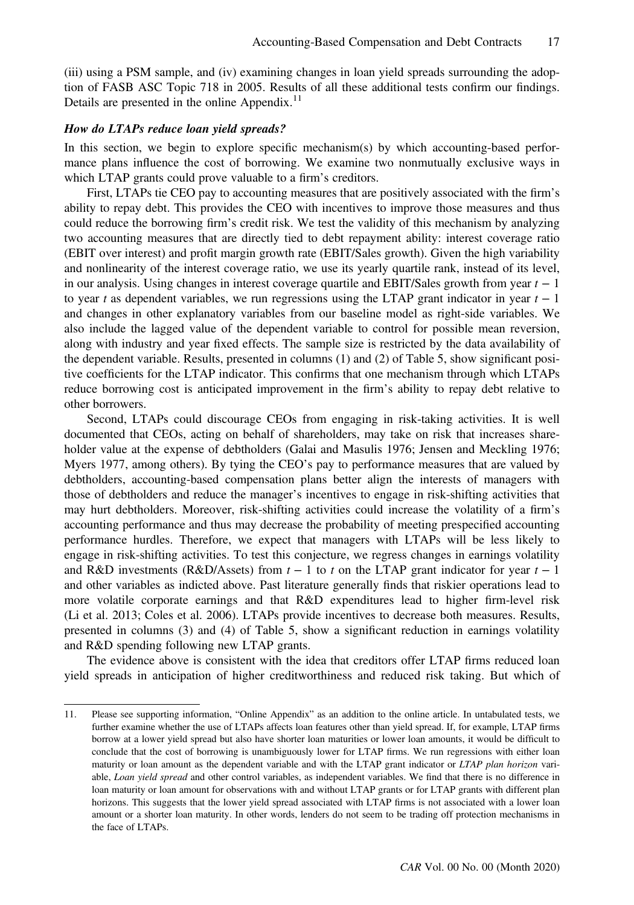(iii) using a PSM sample, and (iv) examining changes in loan yield spreads surrounding the adoption of FASB ASC Topic 718 in 2005. Results of all these additional tests confirm our findings. Details are presented in the online Appendix.<sup>11</sup>

#### How do LTAPs reduce loan yield spreads?

In this section, we begin to explore specific mechanism(s) by which accounting-based performance plans influence the cost of borrowing. We examine two nonmutually exclusive ways in which LTAP grants could prove valuable to a firm's creditors.

First, LTAPs tie CEO pay to accounting measures that are positively associated with the firm's ability to repay debt. This provides the CEO with incentives to improve those measures and thus could reduce the borrowing firm's credit risk. We test the validity of this mechanism by analyzing two accounting measures that are directly tied to debt repayment ability: interest coverage ratio (EBIT over interest) and profit margin growth rate (EBIT/Sales growth). Given the high variability and nonlinearity of the interest coverage ratio, we use its yearly quartile rank, instead of its level, in our analysis. Using changes in interest coverage quartile and EBIT/Sales growth from year  $t - 1$ to year t as dependent variables, we run regressions using the LTAP grant indicator in year  $t - 1$ and changes in other explanatory variables from our baseline model as right-side variables. We also include the lagged value of the dependent variable to control for possible mean reversion, along with industry and year fixed effects. The sample size is restricted by the data availability of the dependent variable. Results, presented in columns (1) and (2) of Table 5, show significant positive coefficients for the LTAP indicator. This confirms that one mechanism through which LTAPs reduce borrowing cost is anticipated improvement in the firm's ability to repay debt relative to other borrowers.

Second, LTAPs could discourage CEOs from engaging in risk-taking activities. It is well documented that CEOs, acting on behalf of shareholders, may take on risk that increases shareholder value at the expense of debtholders (Galai and Masulis 1976; Jensen and Meckling 1976; Myers 1977, among others). By tying the CEO's pay to performance measures that are valued by debtholders, accounting-based compensation plans better align the interests of managers with those of debtholders and reduce the manager's incentives to engage in risk-shifting activities that may hurt debtholders. Moreover, risk-shifting activities could increase the volatility of a firm's accounting performance and thus may decrease the probability of meeting prespecified accounting performance hurdles. Therefore, we expect that managers with LTAPs will be less likely to engage in risk-shifting activities. To test this conjecture, we regress changes in earnings volatility and R&D investments (R&D/Assets) from  $t - 1$  to t on the LTAP grant indicator for year  $t - 1$ and other variables as indicted above. Past literature generally finds that riskier operations lead to more volatile corporate earnings and that R&D expenditures lead to higher firm-level risk (Li et al. 2013; Coles et al. 2006). LTAPs provide incentives to decrease both measures. Results, presented in columns (3) and (4) of Table 5, show a significant reduction in earnings volatility and R&D spending following new LTAP grants.

The evidence above is consistent with the idea that creditors offer LTAP firms reduced loan yield spreads in anticipation of higher creditworthiness and reduced risk taking. But which of

<sup>11.</sup> Please see supporting information, "Online Appendix" as an addition to the online article. In untabulated tests, we further examine whether the use of LTAPs affects loan features other than yield spread. If, for example, LTAP firms borrow at a lower yield spread but also have shorter loan maturities or lower loan amounts, it would be difficult to conclude that the cost of borrowing is unambiguously lower for LTAP firms. We run regressions with either loan maturity or loan amount as the dependent variable and with the LTAP grant indicator or LTAP plan horizon variable, Loan yield spread and other control variables, as independent variables. We find that there is no difference in loan maturity or loan amount for observations with and without LTAP grants or for LTAP grants with different plan horizons. This suggests that the lower yield spread associated with LTAP firms is not associated with a lower loan amount or a shorter loan maturity. In other words, lenders do not seem to be trading off protection mechanisms in the face of LTAPs.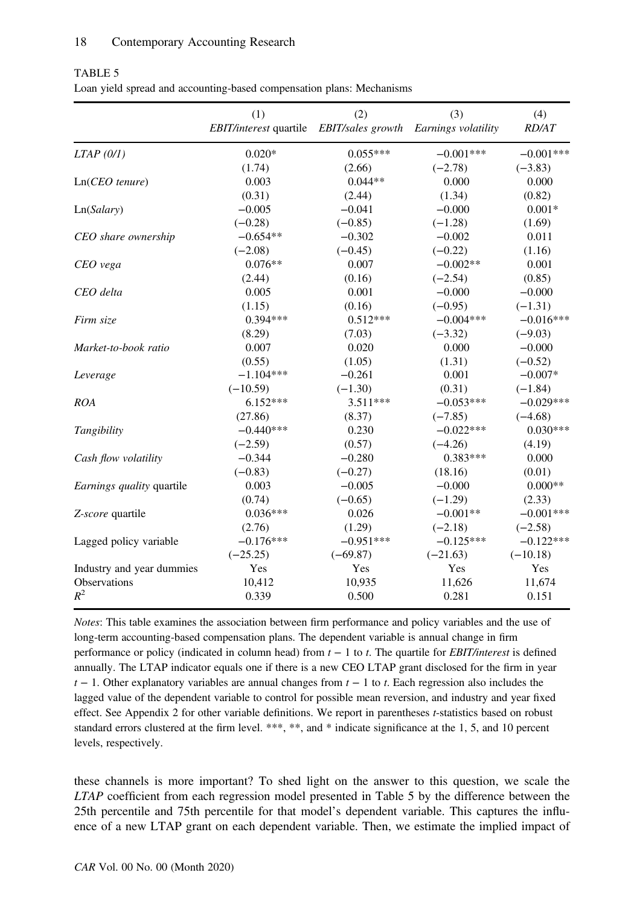|                           | (1)<br>EBIT/interest quartile EBIT/sales growth Earnings volatility | (2)         | (3)         | (4)<br><b>RD/AT</b> |
|---------------------------|---------------------------------------------------------------------|-------------|-------------|---------------------|
| $LTAP$ (0/1)              | $0.020*$                                                            | $0.055***$  | $-0.001***$ | $-0.001***$         |
|                           | (1.74)                                                              | (2.66)      | $(-2.78)$   | $(-3.83)$           |
| $Ln(CEO$ tenure)          | 0.003                                                               | $0.044**$   | 0.000       | 0.000               |
|                           | (0.31)                                                              | (2.44)      | (1.34)      | (0.82)              |
| Ln(Salary)                | $-0.005$                                                            | $-0.041$    | $-0.000$    | $0.001*$            |
|                           | $(-0.28)$                                                           | $(-0.85)$   | $(-1.28)$   | (1.69)              |
| CEO share ownership       | $-0.654**$                                                          | $-0.302$    | $-0.002$    | 0.011               |
|                           | $(-2.08)$                                                           | $(-0.45)$   | $(-0.22)$   | (1.16)              |
| CEO vega                  | $0.076**$                                                           | 0.007       | $-0.002**$  | 0.001               |
|                           | (2.44)                                                              | (0.16)      | $(-2.54)$   | (0.85)              |
| CEO delta                 | 0.005                                                               | 0.001       | $-0.000$    | $-0.000$            |
|                           | (1.15)                                                              | (0.16)      | $(-0.95)$   | $(-1.31)$           |
| Firm size                 | $0.394***$                                                          | $0.512***$  | $-0.004***$ | $-0.016***$         |
|                           | (8.29)                                                              | (7.03)      | $(-3.32)$   | $(-9.03)$           |
| Market-to-book ratio      | 0.007                                                               | 0.020       | 0.000       | $-0.000$            |
|                           | (0.55)                                                              | (1.05)      | (1.31)      | $(-0.52)$           |
| Leverage                  | $-1.104***$                                                         | $-0.261$    | 0.001       | $-0.007*$           |
|                           | $(-10.59)$                                                          | $(-1.30)$   | (0.31)      | $(-1.84)$           |
| ROA                       | $6.152***$                                                          | $3.511***$  | $-0.053***$ | $-0.029***$         |
|                           | (27.86)                                                             | (8.37)      | $(-7.85)$   | $(-4.68)$           |
| Tangibility               | $-0.440***$                                                         | 0.230       | $-0.022***$ | $0.030***$          |
|                           | $(-2.59)$                                                           | (0.57)      | $(-4.26)$   | (4.19)              |
| Cash flow volatility      | $-0.344$                                                            | $-0.280$    | $0.383***$  | 0.000               |
|                           | $(-0.83)$                                                           | $(-0.27)$   | (18.16)     | (0.01)              |
| Earnings quality quartile | 0.003                                                               | $-0.005$    | $-0.000$    | $0.000**$           |
|                           | (0.74)                                                              | $(-0.65)$   | $(-1.29)$   | (2.33)              |
| Z-score quartile          | $0.036***$                                                          | 0.026       | $-0.001**$  | $-0.001***$         |
|                           | (2.76)                                                              | (1.29)      | $(-2.18)$   | $(-2.58)$           |
| Lagged policy variable    | $-0.176***$                                                         | $-0.951***$ | $-0.125***$ | $-0.122***$         |
|                           | $(-25.25)$                                                          | $(-69.87)$  | $(-21.63)$  | $(-10.18)$          |
| Industry and year dummies | Yes                                                                 | Yes         | Yes         | Yes                 |
| Observations              | 10,412                                                              | 10,935      | 11,626      | 11,674              |
| $R^2$                     | 0.339                                                               | 0.500       | 0.281       | 0.151               |

TABLE 5 Loan yield spread and accounting-based compensation plans: Mechanisms

Notes: This table examines the association between firm performance and policy variables and the use of long-term accounting-based compensation plans. The dependent variable is annual change in firm performance or policy (indicated in column head) from  $t - 1$  to t. The quartile for *EBIT/interest* is defined annually. The LTAP indicator equals one if there is a new CEO LTAP grant disclosed for the firm in year  $t - 1$ . Other explanatory variables are annual changes from  $t - 1$  to t. Each regression also includes the lagged value of the dependent variable to control for possible mean reversion, and industry and year fixed effect. See Appendix 2 for other variable definitions. We report in parentheses *t*-statistics based on robust standard errors clustered at the firm level. \*\*\*, \*\*, and \* indicate significance at the 1, 5, and 10 percent levels, respectively.

these channels is more important? To shed light on the answer to this question, we scale the LTAP coefficient from each regression model presented in Table 5 by the difference between the 25th percentile and 75th percentile for that model's dependent variable. This captures the influence of a new LTAP grant on each dependent variable. Then, we estimate the implied impact of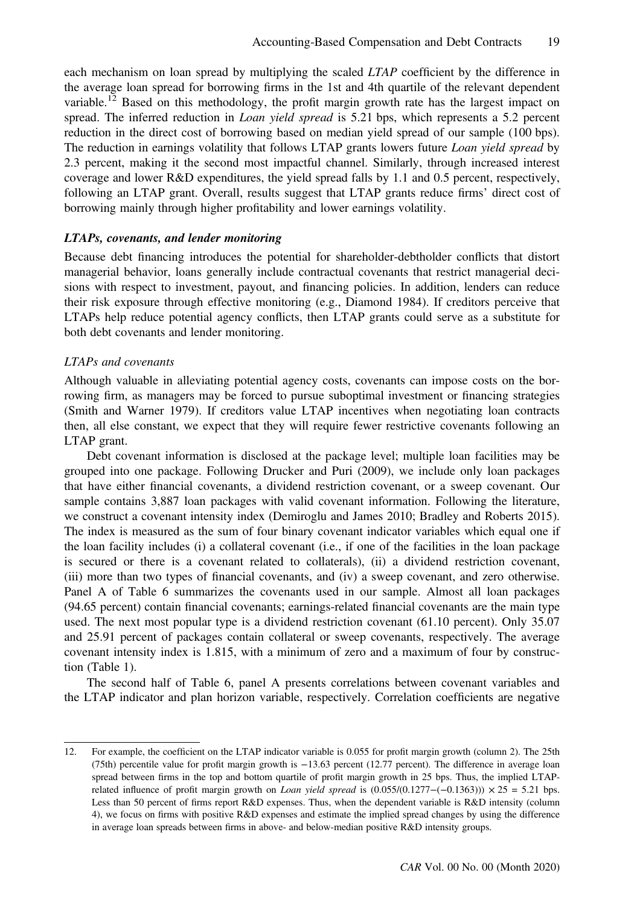each mechanism on loan spread by multiplying the scaled *LTAP* coefficient by the difference in the average loan spread for borrowing firms in the 1st and 4th quartile of the relevant dependent variable.<sup>12</sup> Based on this methodology, the profit margin growth rate has the largest impact on spread. The inferred reduction in *Loan yield spread* is 5.21 bps, which represents a 5.2 percent reduction in the direct cost of borrowing based on median yield spread of our sample (100 bps). The reduction in earnings volatility that follows LTAP grants lowers future Loan yield spread by 2.3 percent, making it the second most impactful channel. Similarly, through increased interest coverage and lower R&D expenditures, the yield spread falls by 1.1 and 0.5 percent, respectively, following an LTAP grant. Overall, results suggest that LTAP grants reduce firms' direct cost of borrowing mainly through higher profitability and lower earnings volatility.

#### LTAPs, covenants, and lender monitoring

Because debt financing introduces the potential for shareholder-debtholder conflicts that distort managerial behavior, loans generally include contractual covenants that restrict managerial decisions with respect to investment, payout, and financing policies. In addition, lenders can reduce their risk exposure through effective monitoring (e.g., Diamond 1984). If creditors perceive that LTAPs help reduce potential agency conflicts, then LTAP grants could serve as a substitute for both debt covenants and lender monitoring.

#### LTAPs and covenants

Although valuable in alleviating potential agency costs, covenants can impose costs on the borrowing firm, as managers may be forced to pursue suboptimal investment or financing strategies (Smith and Warner 1979). If creditors value LTAP incentives when negotiating loan contracts then, all else constant, we expect that they will require fewer restrictive covenants following an LTAP grant.

Debt covenant information is disclosed at the package level; multiple loan facilities may be grouped into one package. Following Drucker and Puri (2009), we include only loan packages that have either financial covenants, a dividend restriction covenant, or a sweep covenant. Our sample contains 3,887 loan packages with valid covenant information. Following the literature, we construct a covenant intensity index (Demiroglu and James 2010; Bradley and Roberts 2015). The index is measured as the sum of four binary covenant indicator variables which equal one if the loan facility includes (i) a collateral covenant (i.e., if one of the facilities in the loan package is secured or there is a covenant related to collaterals), (ii) a dividend restriction covenant, (iii) more than two types of financial covenants, and (iv) a sweep covenant, and zero otherwise. Panel A of Table 6 summarizes the covenants used in our sample. Almost all loan packages (94.65 percent) contain financial covenants; earnings-related financial covenants are the main type used. The next most popular type is a dividend restriction covenant (61.10 percent). Only 35.07 and 25.91 percent of packages contain collateral or sweep covenants, respectively. The average covenant intensity index is 1.815, with a minimum of zero and a maximum of four by construction (Table 1).

The second half of Table 6, panel A presents correlations between covenant variables and the LTAP indicator and plan horizon variable, respectively. Correlation coefficients are negative

<sup>12.</sup> For example, the coefficient on the LTAP indicator variable is 0.055 for profit margin growth (column 2). The 25th (75th) percentile value for profit margin growth is −13.63 percent (12.77 percent). The difference in average loan spread between firms in the top and bottom quartile of profit margin growth in 25 bps. Thus, the implied LTAPrelated influence of profit margin growth on *Loan yield spread* is  $(0.055/(0.1277-(-0.1363))) \times 25 = 5.21$  bps. Less than 50 percent of firms report R&D expenses. Thus, when the dependent variable is R&D intensity (column 4), we focus on firms with positive R&D expenses and estimate the implied spread changes by using the difference in average loan spreads between firms in above- and below-median positive R&D intensity groups.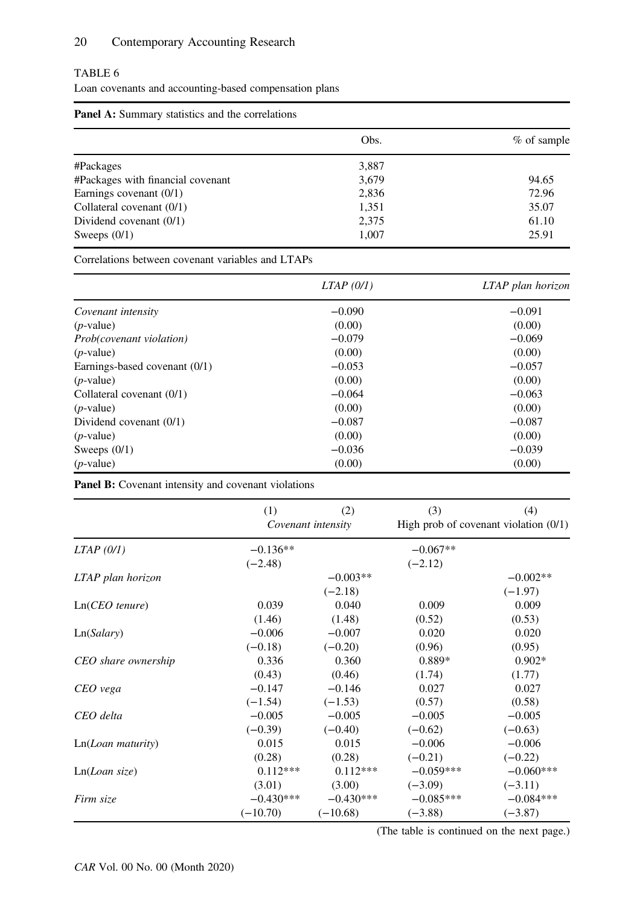### TABLE 6

Loan covenants and accounting-based compensation plans

| <b>Panel A:</b> Summary statistics and the correlations |       |             |
|---------------------------------------------------------|-------|-------------|
|                                                         | Obs.  | % of sample |
| #Packages                                               | 3,887 |             |
| #Packages with financial covenant                       | 3,679 | 94.65       |
| Earnings covenant $(0/1)$                               | 2,836 | 72.96       |
| Collateral covenant (0/1)                               | 1,351 | 35.07       |
| Dividend covenant $(0/1)$                               | 2,375 | 61.10       |
| Sweeps $(0/1)$                                          | 1,007 | 25.91       |

Correlations between covenant variables and LTAPs

|                                 | LTAP (0/1) | LTAP plan horizon |
|---------------------------------|------------|-------------------|
| Covenant intensity              | $-0.090$   | $-0.091$          |
| $(p$ -value)                    | (0.00)     | (0.00)            |
| <i>Prob(covenant violation)</i> | $-0.079$   | $-0.069$          |
| $(p$ -value)                    | (0.00)     | (0.00)            |
| Earnings-based covenant (0/1)   | $-0.053$   | $-0.057$          |
| $(p$ -value)                    | (0.00)     | (0.00)            |
| Collateral covenant $(0/1)$     | $-0.064$   | $-0.063$          |
| $(p$ -value)                    | (0.00)     | (0.00)            |
| Dividend covenant (0/1)         | $-0.087$   | $-0.087$          |
| $(p$ -value)                    | (0.00)     | (0.00)            |
| Sweeps $(0/1)$                  | $-0.036$   | $-0.039$          |
| $(p$ -value)                    | (0.00)     | (0.00)            |

Panel B: Covenant intensity and covenant violations

|                     | (1)         | (2)                | (3)         | (4)                                     |
|---------------------|-------------|--------------------|-------------|-----------------------------------------|
|                     |             | Covenant intensity |             | High prob of covenant violation $(0/1)$ |
| $LTAP$ (0/1)        | $-0.136**$  |                    |             |                                         |
|                     | $(-2.48)$   |                    | $(-2.12)$   |                                         |
| LTAP plan horizon   |             | $-0.003**$         |             | $-0.002**$                              |
|                     |             | $(-2.18)$          |             | $(-1.97)$                               |
| $Ln(CEO$ tenure)    | 0.039       | 0.040              | 0.009       | 0.009                                   |
|                     | (1.46)      | (1.48)             | (0.52)      | (0.53)                                  |
| Ln(Salary)          | $-0.006$    | $-0.007$           | 0.020       | 0.020                                   |
|                     | $(-0.18)$   | $(-0.20)$          | (0.96)      | (0.95)                                  |
| CEO share ownership | 0.336       | 0.360              | $0.889*$    | $0.902*$                                |
|                     | (0.43)      | (0.46)             | (1.74)      | (1.77)                                  |
| CEO vega            | $-0.147$    | $-0.146$           | 0.027       | 0.027                                   |
|                     | $(-1.54)$   | $(-1.53)$          | (0.57)      | (0.58)                                  |
| CEO delta           | $-0.005$    | $-0.005$           | $-0.005$    | $-0.005$                                |
|                     | $(-0.39)$   | $(-0.40)$          | $(-0.62)$   | $(-0.63)$                               |
| Ln(Loan matrix)     | 0.015       | 0.015              | $-0.006$    | $-0.006$                                |
|                     | (0.28)      | (0.28)             | $(-0.21)$   | $(-0.22)$                               |
| Ln(Loan size)       | $0.112***$  | $0.112***$         | $-0.059***$ | $-0.060***$                             |
|                     | (3.01)      | (3.00)             | $(-3.09)$   | $(-3.11)$                               |
| Firm size           | $-0.430***$ | $-0.430***$        | $-0.085***$ | $-0.084***$                             |
|                     | $(-10.70)$  | $(-10.68)$         | $(-3.88)$   | $(-3.87)$                               |

(The table is continued on the next page.)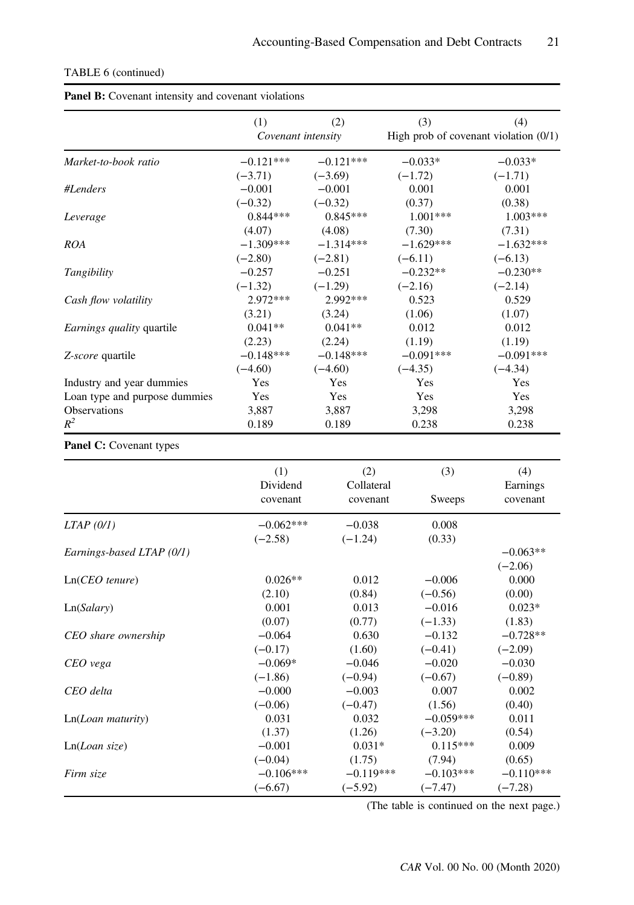| <b>Panel B:</b> Covenant intensity and covenant violations |                    |             |             |                                         |  |  |
|------------------------------------------------------------|--------------------|-------------|-------------|-----------------------------------------|--|--|
|                                                            | (1)                | (2)         | (3)         | (4)                                     |  |  |
|                                                            | Covenant intensity |             |             | High prob of covenant violation $(0/1)$ |  |  |
| Market-to-book ratio                                       | $-0.121***$        | $-0.121***$ | $-0.033*$   | $-0.033*$                               |  |  |
|                                                            | $(-3.71)$          | $(-3.69)$   | $(-1.72)$   | $(-1.71)$                               |  |  |
| #Lenders                                                   | $-0.001$           | $-0.001$    | 0.001       | 0.001                                   |  |  |
|                                                            | $(-0.32)$          | $(-0.32)$   | (0.37)      | (0.38)                                  |  |  |
| Leverage                                                   | $0.844***$         | $0.845***$  | $1.001***$  | $1.003***$                              |  |  |
|                                                            | (4.07)             | (4.08)      | (7.30)      | (7.31)                                  |  |  |
| <b>ROA</b>                                                 | $-1.309***$        | $-1.314***$ | $-1.629***$ | $-1.632***$                             |  |  |
|                                                            | $(-2.80)$          | $(-2.81)$   | $(-6.11)$   | $(-6.13)$                               |  |  |
| Tangibility                                                | $-0.257$           | $-0.251$    | $-0.232**$  | $-0.230**$                              |  |  |
|                                                            | $(-1.32)$          | $(-1.29)$   | $(-2.16)$   | $(-2.14)$                               |  |  |
| Cash flow volatility                                       | $2.972***$         | 2.992***    | 0.523       | 0.529                                   |  |  |
|                                                            | (3.21)             | (3.24)      | (1.06)      | (1.07)                                  |  |  |
| Earnings quality quartile                                  | $0.041**$          | $0.041**$   | 0.012       | 0.012                                   |  |  |
|                                                            | (2.23)             | (2.24)      | (1.19)      | (1.19)                                  |  |  |
| Z-score quartile                                           | $-0.148***$        | $-0.148***$ | $-0.091***$ | $-0.091***$                             |  |  |
|                                                            | $(-4.60)$          | $(-4.60)$   | $(-4.35)$   | $(-4.34)$                               |  |  |
| Industry and year dummies                                  | Yes                | Yes         | Yes         | Yes                                     |  |  |
| Loan type and purpose dummies                              | Yes                | Yes         | Yes         | Yes                                     |  |  |
| <b>Observations</b>                                        | 3,887              | 3,887       | 3,298       | 3,298                                   |  |  |
| $R^2$                                                      | 0.189              | 0.189       | 0.238       | 0.238                                   |  |  |

### TABLE 6 (continued)

| <b>Panel B:</b> Covenant intensity and covenant violations |  |  |
|------------------------------------------------------------|--|--|
|                                                            |  |  |

## Panel C: Covenant types

|                           | (1)<br>Dividend<br>covenant | (2)<br>Collateral<br>covenant | (3)<br>Sweeps | (4)<br>Earnings<br>covenant |
|---------------------------|-----------------------------|-------------------------------|---------------|-----------------------------|
| LTAP(0/I)                 | $-0.062***$                 | $-0.038$                      | 0.008         |                             |
|                           | $(-2.58)$                   | $(-1.24)$                     | (0.33)        |                             |
| Earnings-based LTAP (0/1) |                             |                               |               | $-0.063**$                  |
|                           |                             |                               |               | $(-2.06)$                   |
| $Ln(CEO$ tenure)          | $0.026**$                   | 0.012                         | $-0.006$      | 0.000                       |
|                           | (2.10)                      | (0.84)                        | $(-0.56)$     | (0.00)                      |
| Ln(Salary)                | 0.001                       | 0.013                         | $-0.016$      | $0.023*$                    |
|                           | (0.07)                      | (0.77)                        | $(-1.33)$     | (1.83)                      |
| CEO share ownership       | $-0.064$                    | 0.630                         | $-0.132$      | $-0.728**$                  |
|                           | $(-0.17)$                   | (1.60)                        | $(-0.41)$     | $(-2.09)$                   |
| CEO vega                  | $-0.069*$                   | $-0.046$                      | $-0.020$      | $-0.030$                    |
|                           | $(-1.86)$                   | $(-0.94)$                     | $(-0.67)$     | $(-0.89)$                   |
| CEO delta                 | $-0.000$                    | $-0.003$                      | 0.007         | 0.002                       |
|                           | $(-0.06)$                   | $(-0.47)$                     | (1.56)        | (0.40)                      |
| Ln(Loan matrix)           | 0.031                       | 0.032                         | $-0.059***$   | 0.011                       |
|                           | (1.37)                      | (1.26)                        | $(-3.20)$     | (0.54)                      |
| Ln(Loan size)             | $-0.001$                    | $0.031*$                      | $0.115***$    | 0.009                       |
|                           | $(-0.04)$                   | (1.75)                        | (7.94)        | (0.65)                      |
| Firm size                 | $-0.106***$                 | $-0.119***$                   | $-0.103***$   | $-0.110***$                 |
|                           | $(-6.67)$                   | $(-5.92)$                     | $(-7.47)$     | $(-7.28)$                   |

(The table is continued on the next page.)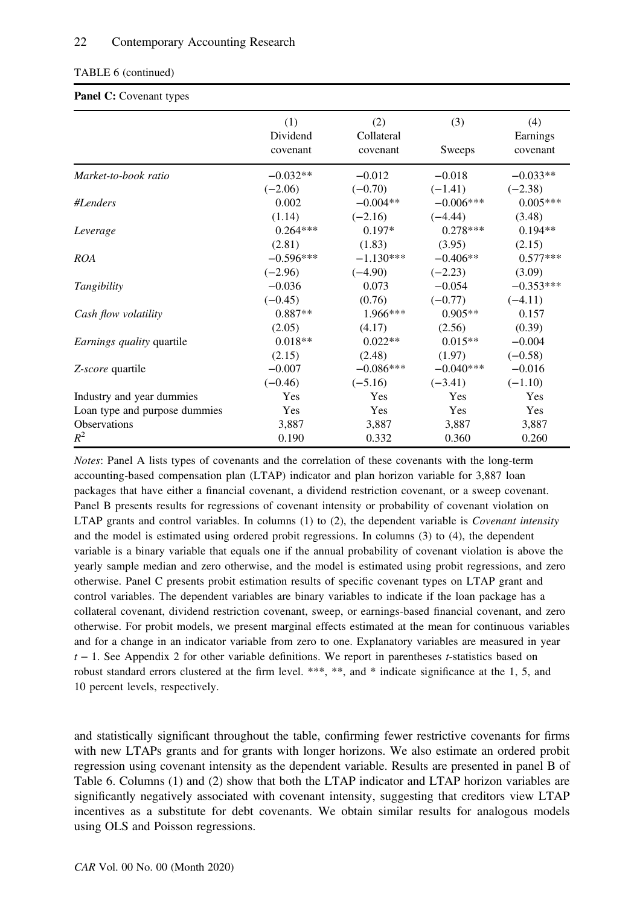#### TABLE 6 (continued)

#### Panel C: Covenant types

|                                  | (1)<br>Dividend<br>covenant | (2)<br>Collateral<br>covenant | (3)<br>Sweeps | (4)<br>Earnings<br>covenant |
|----------------------------------|-----------------------------|-------------------------------|---------------|-----------------------------|
|                                  |                             |                               |               |                             |
| Market-to-book ratio             | $-0.032**$                  | $-0.012$                      | $-0.018$      | $-0.033**$                  |
|                                  | $(-2.06)$                   | $(-0.70)$                     | $(-1.41)$     | $(-2.38)$                   |
| #Lenders                         | 0.002                       | $-0.004**$                    | $-0.006***$   | $0.005***$                  |
|                                  | (1.14)                      | $(-2.16)$                     | $(-4.44)$     | (3.48)                      |
| Leverage                         | $0.264***$                  | $0.197*$                      | $0.278***$    | $0.194**$                   |
|                                  | (2.81)                      | (1.83)                        | (3.95)        | (2.15)                      |
| <b>ROA</b>                       | $-0.596***$                 | $-1.130***$                   | $-0.406**$    | $0.577***$                  |
|                                  | $(-2.96)$                   | $(-4.90)$                     | $(-2.23)$     | (3.09)                      |
| Tangibility                      | $-0.036$                    | 0.073                         | $-0.054$      | $-0.353***$                 |
|                                  | $(-0.45)$                   | (0.76)                        | $(-0.77)$     | $(-4.11)$                   |
| Cash flow volatility             | $0.887**$                   | $1.966***$                    | $0.905**$     | 0.157                       |
|                                  | (2.05)                      | (4.17)                        | (2.56)        | (0.39)                      |
| <i>Earnings quality</i> quartile | $0.018**$                   | $0.022**$                     | $0.015**$     | $-0.004$                    |
|                                  | (2.15)                      | (2.48)                        | (1.97)        | $(-0.58)$                   |
| Z-score quartile                 | $-0.007$                    | $-0.086***$                   | $-0.040***$   | $-0.016$                    |
|                                  | $(-0.46)$                   | $(-5.16)$                     | $(-3.41)$     | $(-1.10)$                   |
| Industry and year dummies        | Yes                         | Yes                           | Yes           | Yes                         |
| Loan type and purpose dummies    | Yes                         | Yes                           | Yes           | Yes                         |
| <b>Observations</b>              | 3,887                       | 3,887                         | 3,887         | 3,887                       |
| $R^2$                            | 0.190                       | 0.332                         | 0.360         | 0.260                       |

Notes: Panel A lists types of covenants and the correlation of these covenants with the long-term accounting-based compensation plan (LTAP) indicator and plan horizon variable for 3,887 loan packages that have either a financial covenant, a dividend restriction covenant, or a sweep covenant. Panel B presents results for regressions of covenant intensity or probability of covenant violation on LTAP grants and control variables. In columns  $(1)$  to  $(2)$ , the dependent variable is *Covenant intensity* and the model is estimated using ordered probit regressions. In columns (3) to (4), the dependent variable is a binary variable that equals one if the annual probability of covenant violation is above the yearly sample median and zero otherwise, and the model is estimated using probit regressions, and zero otherwise. Panel C presents probit estimation results of specific covenant types on LTAP grant and control variables. The dependent variables are binary variables to indicate if the loan package has a collateral covenant, dividend restriction covenant, sweep, or earnings-based financial covenant, and zero otherwise. For probit models, we present marginal effects estimated at the mean for continuous variables and for a change in an indicator variable from zero to one. Explanatory variables are measured in year  $t - 1$ . See Appendix 2 for other variable definitions. We report in parentheses t-statistics based on robust standard errors clustered at the firm level. \*\*\*, \*\*, and \* indicate significance at the 1, 5, and 10 percent levels, respectively.

and statistically significant throughout the table, confirming fewer restrictive covenants for firms with new LTAPs grants and for grants with longer horizons. We also estimate an ordered probit regression using covenant intensity as the dependent variable. Results are presented in panel B of Table 6. Columns (1) and (2) show that both the LTAP indicator and LTAP horizon variables are significantly negatively associated with covenant intensity, suggesting that creditors view LTAP incentives as a substitute for debt covenants. We obtain similar results for analogous models using OLS and Poisson regressions.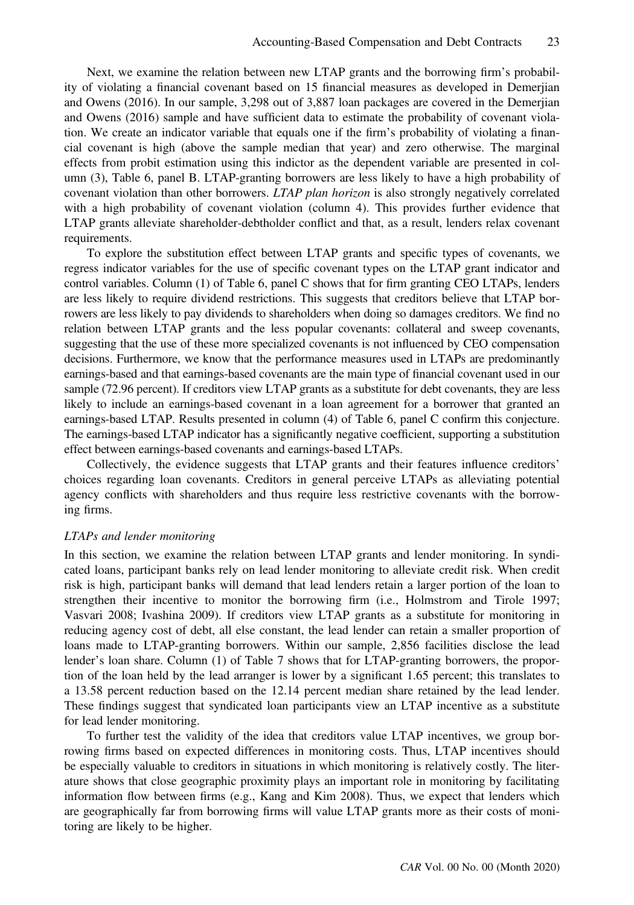Next, we examine the relation between new LTAP grants and the borrowing firm's probability of violating a financial covenant based on 15 financial measures as developed in Demerjian and Owens (2016). In our sample, 3,298 out of 3,887 loan packages are covered in the Demerjian and Owens (2016) sample and have sufficient data to estimate the probability of covenant violation. We create an indicator variable that equals one if the firm's probability of violating a financial covenant is high (above the sample median that year) and zero otherwise. The marginal effects from probit estimation using this indictor as the dependent variable are presented in column (3), Table 6, panel B. LTAP-granting borrowers are less likely to have a high probability of covenant violation than other borrowers. LTAP plan horizon is also strongly negatively correlated with a high probability of covenant violation (column 4). This provides further evidence that LTAP grants alleviate shareholder-debtholder conflict and that, as a result, lenders relax covenant requirements.

To explore the substitution effect between LTAP grants and specific types of covenants, we regress indicator variables for the use of specific covenant types on the LTAP grant indicator and control variables. Column (1) of Table 6, panel C shows that for firm granting CEO LTAPs, lenders are less likely to require dividend restrictions. This suggests that creditors believe that LTAP borrowers are less likely to pay dividends to shareholders when doing so damages creditors. We find no relation between LTAP grants and the less popular covenants: collateral and sweep covenants, suggesting that the use of these more specialized covenants is not influenced by CEO compensation decisions. Furthermore, we know that the performance measures used in LTAPs are predominantly earnings-based and that earnings-based covenants are the main type of financial covenant used in our sample (72.96 percent). If creditors view LTAP grants as a substitute for debt covenants, they are less likely to include an earnings-based covenant in a loan agreement for a borrower that granted an earnings-based LTAP. Results presented in column (4) of Table 6, panel C confirm this conjecture. The earnings-based LTAP indicator has a significantly negative coefficient, supporting a substitution effect between earnings-based covenants and earnings-based LTAPs.

Collectively, the evidence suggests that LTAP grants and their features influence creditors' choices regarding loan covenants. Creditors in general perceive LTAPs as alleviating potential agency conflicts with shareholders and thus require less restrictive covenants with the borrowing firms.

#### LTAPs and lender monitoring

In this section, we examine the relation between LTAP grants and lender monitoring. In syndicated loans, participant banks rely on lead lender monitoring to alleviate credit risk. When credit risk is high, participant banks will demand that lead lenders retain a larger portion of the loan to strengthen their incentive to monitor the borrowing firm (i.e., Holmstrom and Tirole 1997; Vasvari 2008; Ivashina 2009). If creditors view LTAP grants as a substitute for monitoring in reducing agency cost of debt, all else constant, the lead lender can retain a smaller proportion of loans made to LTAP-granting borrowers. Within our sample, 2,856 facilities disclose the lead lender's loan share. Column (1) of Table 7 shows that for LTAP-granting borrowers, the proportion of the loan held by the lead arranger is lower by a significant 1.65 percent; this translates to a 13.58 percent reduction based on the 12.14 percent median share retained by the lead lender. These findings suggest that syndicated loan participants view an LTAP incentive as a substitute for lead lender monitoring.

To further test the validity of the idea that creditors value LTAP incentives, we group borrowing firms based on expected differences in monitoring costs. Thus, LTAP incentives should be especially valuable to creditors in situations in which monitoring is relatively costly. The literature shows that close geographic proximity plays an important role in monitoring by facilitating information flow between firms (e.g., Kang and Kim 2008). Thus, we expect that lenders which are geographically far from borrowing firms will value LTAP grants more as their costs of monitoring are likely to be higher.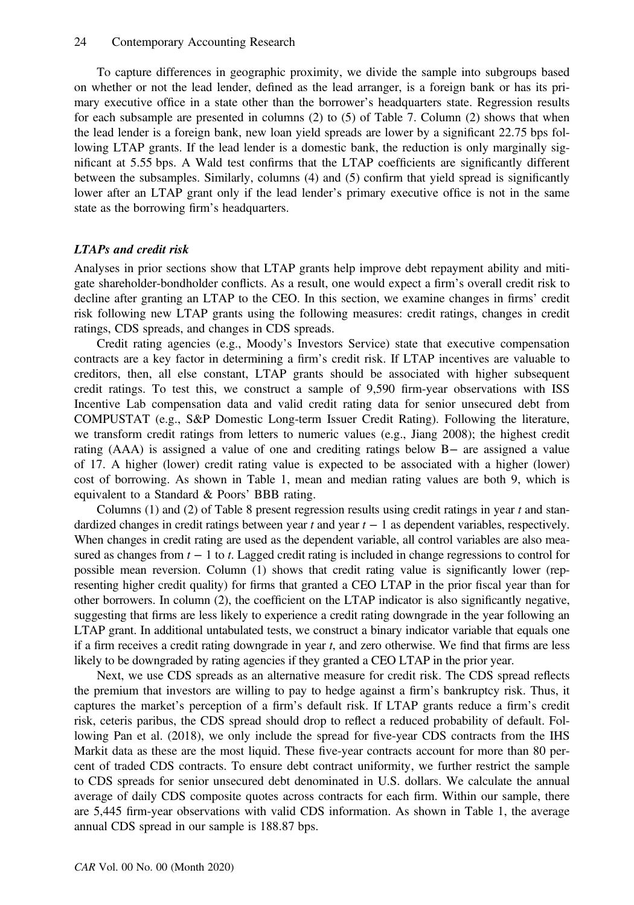To capture differences in geographic proximity, we divide the sample into subgroups based on whether or not the lead lender, defined as the lead arranger, is a foreign bank or has its primary executive office in a state other than the borrower's headquarters state. Regression results for each subsample are presented in columns (2) to (5) of Table 7. Column (2) shows that when the lead lender is a foreign bank, new loan yield spreads are lower by a significant 22.75 bps following LTAP grants. If the lead lender is a domestic bank, the reduction is only marginally significant at 5.55 bps. A Wald test confirms that the LTAP coefficients are significantly different between the subsamples. Similarly, columns (4) and (5) confirm that yield spread is significantly lower after an LTAP grant only if the lead lender's primary executive office is not in the same state as the borrowing firm's headquarters.

#### LTAPs and credit risk

Analyses in prior sections show that LTAP grants help improve debt repayment ability and mitigate shareholder-bondholder conflicts. As a result, one would expect a firm's overall credit risk to decline after granting an LTAP to the CEO. In this section, we examine changes in firms' credit risk following new LTAP grants using the following measures: credit ratings, changes in credit ratings, CDS spreads, and changes in CDS spreads.

Credit rating agencies (e.g., Moody's Investors Service) state that executive compensation contracts are a key factor in determining a firm's credit risk. If LTAP incentives are valuable to creditors, then, all else constant, LTAP grants should be associated with higher subsequent credit ratings. To test this, we construct a sample of 9,590 firm-year observations with ISS Incentive Lab compensation data and valid credit rating data for senior unsecured debt from COMPUSTAT (e.g., S&P Domestic Long-term Issuer Credit Rating). Following the literature, we transform credit ratings from letters to numeric values (e.g., Jiang 2008); the highest credit rating (AAA) is assigned a value of one and crediting ratings below B− are assigned a value of 17. A higher (lower) credit rating value is expected to be associated with a higher (lower) cost of borrowing. As shown in Table 1, mean and median rating values are both 9, which is equivalent to a Standard & Poors' BBB rating.

Columns (1) and (2) of Table 8 present regression results using credit ratings in year  $t$  and standardized changes in credit ratings between year  $t$  and year  $t - 1$  as dependent variables, respectively. When changes in credit rating are used as the dependent variable, all control variables are also measured as changes from  $t - 1$  to t. Lagged credit rating is included in change regressions to control for possible mean reversion. Column (1) shows that credit rating value is significantly lower (representing higher credit quality) for firms that granted a CEO LTAP in the prior fiscal year than for other borrowers. In column (2), the coefficient on the LTAP indicator is also significantly negative, suggesting that firms are less likely to experience a credit rating downgrade in the year following an LTAP grant. In additional untabulated tests, we construct a binary indicator variable that equals one if a firm receives a credit rating downgrade in year  $t$ , and zero otherwise. We find that firms are less likely to be downgraded by rating agencies if they granted a CEO LTAP in the prior year.

Next, we use CDS spreads as an alternative measure for credit risk. The CDS spread reflects the premium that investors are willing to pay to hedge against a firm's bankruptcy risk. Thus, it captures the market's perception of a firm's default risk. If LTAP grants reduce a firm's credit risk, ceteris paribus, the CDS spread should drop to reflect a reduced probability of default. Following Pan et al. (2018), we only include the spread for five-year CDS contracts from the IHS Markit data as these are the most liquid. These five-year contracts account for more than 80 percent of traded CDS contracts. To ensure debt contract uniformity, we further restrict the sample to CDS spreads for senior unsecured debt denominated in U.S. dollars. We calculate the annual average of daily CDS composite quotes across contracts for each firm. Within our sample, there are 5,445 firm-year observations with valid CDS information. As shown in Table 1, the average annual CDS spread in our sample is 188.87 bps.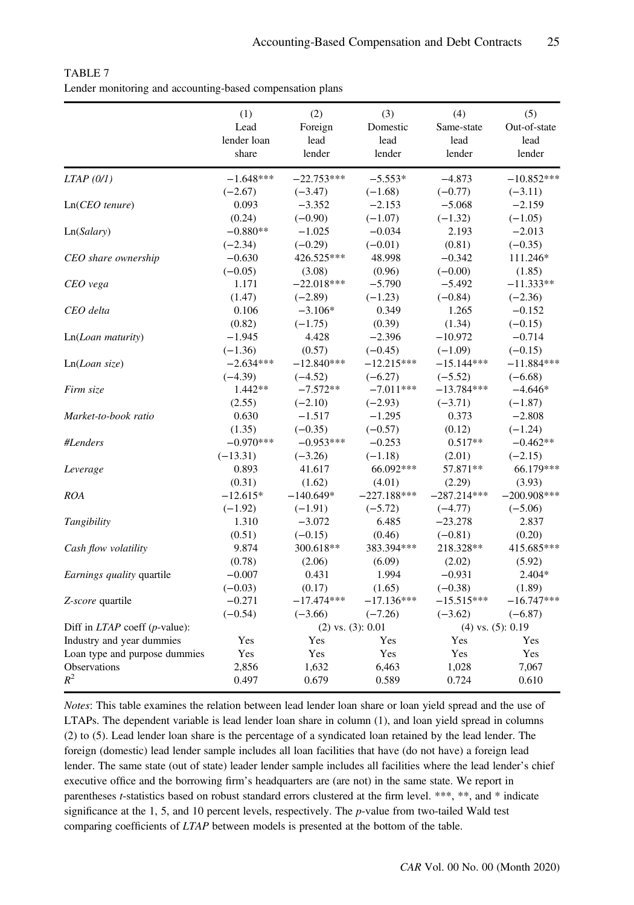|                               | (1)         | (2)                    | (3)           | (4)           | (5)                   |
|-------------------------------|-------------|------------------------|---------------|---------------|-----------------------|
|                               | Lead        | Foreign                | Domestic      | Same-state    | Out-of-state          |
|                               | lender loan | lead                   | lead          | lead          | lead                  |
|                               | share       | lender                 | lender        | lender        | lender                |
| $LTAP$ (0/1)                  | $-1.648***$ | $-22.753***$           | $-5.553*$     | $-4.873$      | $-10.852***$          |
|                               | $(-2.67)$   | $(-3.47)$              | $(-1.68)$     | $(-0.77)$     | $(-3.11)$             |
| $Ln(CEO$ tenure)              | 0.093       | $-3.352$               | $-2.153$      | $-5.068$      | $-2.159$              |
|                               | (0.24)      | $(-0.90)$              | $(-1.07)$     | $(-1.32)$     | $(-1.05)$             |
| Ln(Salary)                    | $-0.880**$  | $-1.025$               | $-0.034$      | 2.193         | $-2.013$              |
|                               | $(-2.34)$   | $(-0.29)$              | $(-0.01)$     | (0.81)        | $(-0.35)$             |
| CEO share ownership           | $-0.630$    | 426.525***             | 48.998        | $-0.342$      | 111.246*              |
|                               | $(-0.05)$   | (3.08)                 | (0.96)        | $(-0.00)$     | (1.85)                |
| CEO vega                      | 1.171       | $-22.018***$           | $-5.790$      | $-5.492$      | $-11.333**$           |
|                               | (1.47)      | $(-2.89)$              | $(-1.23)$     | $(-0.84)$     | $(-2.36)$             |
| CEO delta                     | 0.106       | $-3.106*$              | 0.349         | 1.265         | $-0.152$              |
|                               | (0.82)      | $(-1.75)$              | (0.39)        | (1.34)        | $(-0.15)$             |
| Ln(Loan maturity)             | -1.945      | 4.428                  | $-2.396$      | $-10.972$     | $-0.714$              |
|                               | $(-1.36)$   | (0.57)                 | $(-0.45)$     | $(-1.09)$     | $(-0.15)$             |
| Ln(Loan size)                 | $-2.634***$ | $-12.840***$           | $-12.215***$  | $-15.144***$  | $-11.884***$          |
|                               | $(-4.39)$   | $(-4.52)$              | $(-6.27)$     | $(-5.52)$     | $(-6.68)$             |
| Firm size                     | $1.442**$   | $-7.572**$             | $-7.011***$   | $-13.784***$  | $-4.646*$             |
|                               | (2.55)      | $(-2.10)$              | $(-2.93)$     | $(-3.71)$     | $(-1.87)$             |
| Market-to-book ratio          | 0.630       | $-1.517$               | $-1.295$      | 0.373         | $-2.808$              |
|                               | (1.35)      | $(-0.35)$              | $(-0.57)$     | (0.12)        | $(-1.24)$             |
| #Lenders                      | $-0.970***$ | $-0.953***$            | $-0.253$      | $0.517**$     | $-0.462**$            |
|                               | $(-13.31)$  | $(-3.26)$              | $(-1.18)$     | (2.01)        | $(-2.15)$             |
| Leverage                      | 0.893       | 41.617                 | 66.092***     | 57.871**      | 66.179***             |
|                               | (0.31)      | (1.62)                 | (4.01)        | (2.29)        | (3.93)                |
| <b>ROA</b>                    | $-12.615*$  | $-140.649*$            | $-227.188***$ | $-287.214***$ | $-200.908***$         |
|                               | $(-1.92)$   | $(-1.91)$              | $(-5.72)$     | $(-4.77)$     | $(-5.06)$             |
| Tangibility                   | 1.310       | $-3.072$               | 6.485         | $-23.278$     | 2.837                 |
|                               | (0.51)      | $(-0.15)$              | (0.46)        | $(-0.81)$     | (0.20)                |
| Cash flow volatility          | 9.874       | 300.618**              | 383.394***    | 218.328**     | 415.685***            |
|                               | (0.78)      | (2.06)                 | (6.09)        | (2.02)        | (5.92)                |
| Earnings quality quartile     | $-0.007$    | 0.431                  | 1.994         | $-0.931$      | 2.404*                |
|                               | $(-0.03)$   | (0.17)                 | (1.65)        | $(-0.38)$     | (1.89)                |
| Z-score quartile              | $-0.271$    | $-17.474***$           | $-17.136***$  | $-15.515***$  | $-16.747***$          |
|                               | $(-0.54)$   | $(-3.66)$              | $(-7.26)$     | $(-3.62)$     | $(-6.87)$             |
| Diff in LTAP coeff (p-value): |             | $(2)$ vs. $(3)$ : 0.01 |               |               | $(4)$ vs. $(5): 0.19$ |
| Industry and year dummies     | Yes         | Yes                    | Yes           | Yes           | Yes                   |
| Loan type and purpose dummies | Yes         | Yes                    | Yes           | Yes           | Yes                   |
| Observations                  | 2,856       | 1,632                  | 6,463         | 1,028         | 7,067                 |
| $R^2$                         | 0.497       | 0.679                  | 0.589         | 0.724         | 0.610                 |

TABLE 7 Lender monitoring and accounting-based compensation plans

Notes: This table examines the relation between lead lender loan share or loan yield spread and the use of LTAPs. The dependent variable is lead lender loan share in column (1), and loan yield spread in columns (2) to (5). Lead lender loan share is the percentage of a syndicated loan retained by the lead lender. The foreign (domestic) lead lender sample includes all loan facilities that have (do not have) a foreign lead lender. The same state (out of state) leader lender sample includes all facilities where the lead lender's chief executive office and the borrowing firm's headquarters are (are not) in the same state. We report in parentheses t-statistics based on robust standard errors clustered at the firm level. \*\*\*, \*\*, and \* indicate significance at the 1, 5, and 10 percent levels, respectively. The p-value from two-tailed Wald test comparing coefficients of LTAP between models is presented at the bottom of the table.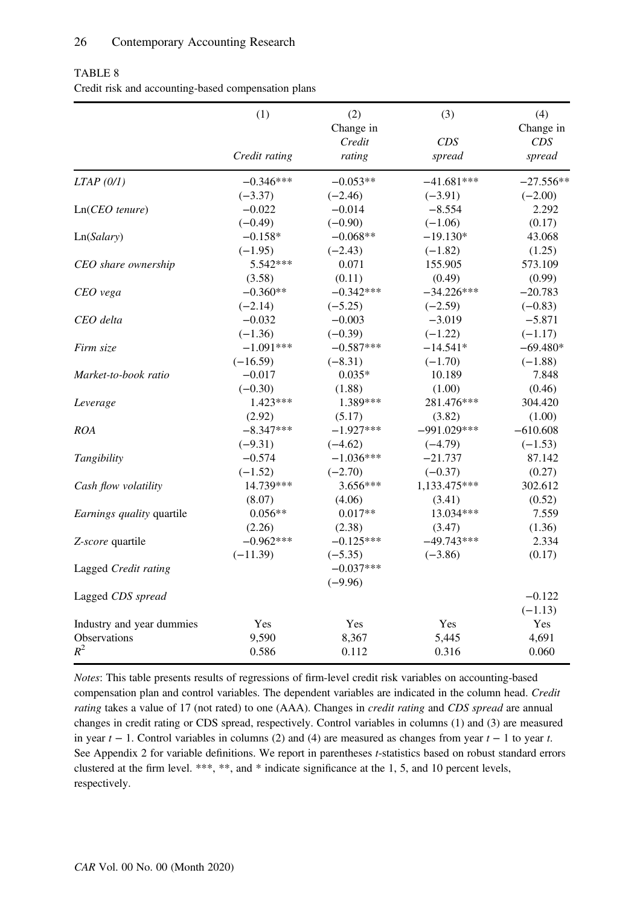|                                  | (1)           | (2)         | (3)           | (4)         |
|----------------------------------|---------------|-------------|---------------|-------------|
|                                  |               | Change in   |               | Change in   |
|                                  |               | Credit      | CDS           | CDS         |
|                                  | Credit rating | rating      | spread        | spread      |
| LTAP(0/I)                        | $-0.346***$   | $-0.053**$  | $-41.681***$  | $-27.556**$ |
|                                  | $(-3.37)$     | $(-2.46)$   | $(-3.91)$     | $(-2.00)$   |
| $Ln(CEO$ tenure)                 | $-0.022$      | $-0.014$    | $-8.554$      | 2.292       |
|                                  | $(-0.49)$     | $(-0.90)$   | $(-1.06)$     | (0.17)      |
| Ln(Salary)                       | $-0.158*$     | $-0.068**$  | $-19.130*$    | 43.068      |
|                                  | $(-1.95)$     | $(-2.43)$   | $(-1.82)$     | (1.25)      |
| CEO share ownership              | 5.542***      | 0.071       | 155.905       | 573.109     |
|                                  | (3.58)        | (0.11)      | (0.49)        | (0.99)      |
| CEO vega                         | $-0.360**$    | $-0.342***$ | $-34.226***$  | $-20.783$   |
|                                  | $(-2.14)$     | $(-5.25)$   | $(-2.59)$     | $(-0.83)$   |
| CEO delta                        | $-0.032$      | $-0.003$    | $-3.019$      | $-5.871$    |
|                                  | $(-1.36)$     | $(-0.39)$   | $(-1.22)$     | $(-1.17)$   |
| Firm size                        | $-1.091***$   | $-0.587***$ | $-14.541*$    | $-69.480*$  |
|                                  | $(-16.59)$    | $(-8.31)$   | $(-1.70)$     | $(-1.88)$   |
| Market-to-book ratio             | $-0.017$      | $0.035*$    | 10.189        | 7.848       |
|                                  | $(-0.30)$     | (1.88)      | (1.00)        | (0.46)      |
| Leverage                         | $1.423***$    | 1.389***    | 281.476***    | 304.420     |
|                                  | (2.92)        | (5.17)      | (3.82)        | (1.00)      |
| <b>ROA</b>                       | $-8.347***$   | $-1.927***$ | $-991.029***$ | $-610.608$  |
|                                  | $(-9.31)$     | $(-4.62)$   | $(-4.79)$     | $(-1.53)$   |
| Tangibility                      | $-0.574$      | $-1.036***$ | $-21.737$     | 87.142      |
|                                  | $(-1.52)$     | $(-2.70)$   | $(-0.37)$     | (0.27)      |
| Cash flow volatility             | 14.739***     | $3.656***$  | 1,133.475***  | 302.612     |
|                                  | (8.07)        | (4.06)      | (3.41)        | (0.52)      |
| <i>Earnings quality</i> quartile | $0.056**$     | $0.017**$   | 13.034***     | 7.559       |
|                                  | (2.26)        | (2.38)      | (3.47)        | (1.36)      |
| Z-score quartile                 | $-0.962***$   | $-0.125***$ | $-49.743***$  | 2.334       |
|                                  | $(-11.39)$    | $(-5.35)$   | $(-3.86)$     | (0.17)      |
| Lagged Credit rating             |               | $-0.037***$ |               |             |
|                                  |               | $(-9.96)$   |               |             |
| Lagged CDS spread                |               |             |               | $-0.122$    |
|                                  |               |             |               | $(-1.13)$   |
| Industry and year dummies        | Yes           | Yes         | Yes           | Yes         |
| Observations                     | 9,590         | 8,367       | 5,445         | 4,691       |
| $R^2$                            | 0.586         | 0.112       | 0.316         | 0.060       |

TABLE 8 Credit risk and accounting-based compensation plans

Notes: This table presents results of regressions of firm-level credit risk variables on accounting-based compensation plan and control variables. The dependent variables are indicated in the column head. Credit rating takes a value of 17 (not rated) to one (AAA). Changes in credit rating and CDS spread are annual changes in credit rating or CDS spread, respectively. Control variables in columns (1) and (3) are measured in year  $t - 1$ . Control variables in columns (2) and (4) are measured as changes from year  $t - 1$  to year t. See Appendix 2 for variable definitions. We report in parentheses t-statistics based on robust standard errors clustered at the firm level. \*\*\*, \*\*, and \* indicate significance at the 1, 5, and 10 percent levels, respectively.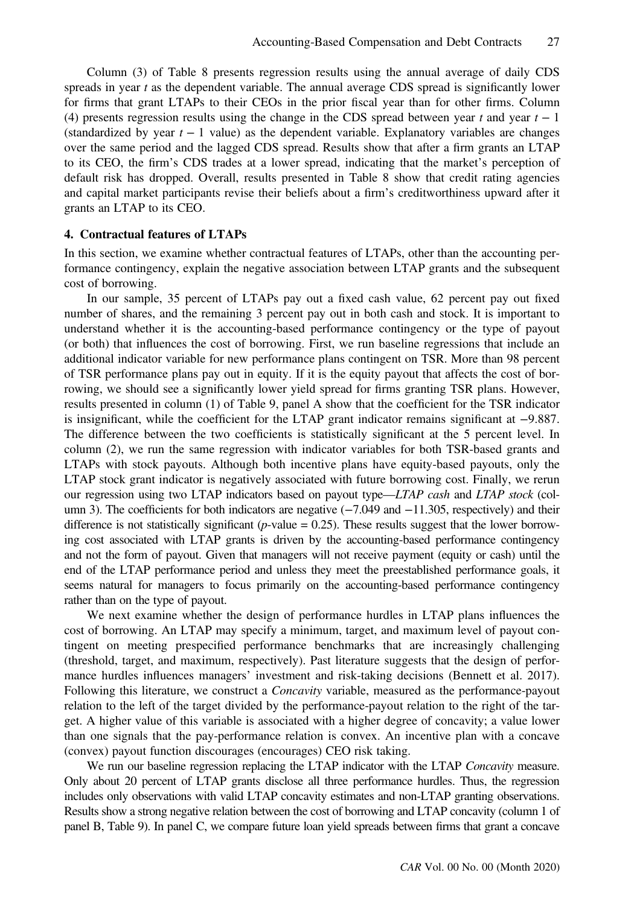Column (3) of Table 8 presents regression results using the annual average of daily CDS spreads in year t as the dependent variable. The annual average CDS spread is significantly lower for firms that grant LTAPs to their CEOs in the prior fiscal year than for other firms. Column (4) presents regression results using the change in the CDS spread between year t and year  $t - 1$ (standardized by year  $t - 1$  value) as the dependent variable. Explanatory variables are changes over the same period and the lagged CDS spread. Results show that after a firm grants an LTAP to its CEO, the firm's CDS trades at a lower spread, indicating that the market's perception of default risk has dropped. Overall, results presented in Table 8 show that credit rating agencies and capital market participants revise their beliefs about a firm's creditworthiness upward after it grants an LTAP to its CEO.

#### 4. Contractual features of LTAPs

In this section, we examine whether contractual features of LTAPs, other than the accounting performance contingency, explain the negative association between LTAP grants and the subsequent cost of borrowing.

In our sample, 35 percent of LTAPs pay out a fixed cash value, 62 percent pay out fixed number of shares, and the remaining 3 percent pay out in both cash and stock. It is important to understand whether it is the accounting-based performance contingency or the type of payout (or both) that influences the cost of borrowing. First, we run baseline regressions that include an additional indicator variable for new performance plans contingent on TSR. More than 98 percent of TSR performance plans pay out in equity. If it is the equity payout that affects the cost of borrowing, we should see a significantly lower yield spread for firms granting TSR plans. However, results presented in column (1) of Table 9, panel A show that the coefficient for the TSR indicator is insignificant, while the coefficient for the LTAP grant indicator remains significant at −9.887. The difference between the two coefficients is statistically significant at the 5 percent level. In column (2), we run the same regression with indicator variables for both TSR-based grants and LTAPs with stock payouts. Although both incentive plans have equity-based payouts, only the LTAP stock grant indicator is negatively associated with future borrowing cost. Finally, we rerun our regression using two LTAP indicators based on payout type—LTAP cash and LTAP stock (column 3). The coefficients for both indicators are negative (−7.049 and −11.305, respectively) and their difference is not statistically significant ( $p$ -value = 0.25). These results suggest that the lower borrowing cost associated with LTAP grants is driven by the accounting-based performance contingency and not the form of payout. Given that managers will not receive payment (equity or cash) until the end of the LTAP performance period and unless they meet the preestablished performance goals, it seems natural for managers to focus primarily on the accounting-based performance contingency rather than on the type of payout.

We next examine whether the design of performance hurdles in LTAP plans influences the cost of borrowing. An LTAP may specify a minimum, target, and maximum level of payout contingent on meeting prespecified performance benchmarks that are increasingly challenging (threshold, target, and maximum, respectively). Past literature suggests that the design of performance hurdles influences managers' investment and risk-taking decisions (Bennett et al. 2017). Following this literature, we construct a *Concavity* variable, measured as the performance-payout relation to the left of the target divided by the performance-payout relation to the right of the target. A higher value of this variable is associated with a higher degree of concavity; a value lower than one signals that the pay-performance relation is convex. An incentive plan with a concave (convex) payout function discourages (encourages) CEO risk taking.

We run our baseline regression replacing the LTAP indicator with the LTAP Concavity measure. Only about 20 percent of LTAP grants disclose all three performance hurdles. Thus, the regression includes only observations with valid LTAP concavity estimates and non-LTAP granting observations. Results show a strong negative relation between the cost of borrowing and LTAP concavity (column 1 of panel B, Table 9). In panel C, we compare future loan yield spreads between firms that grant a concave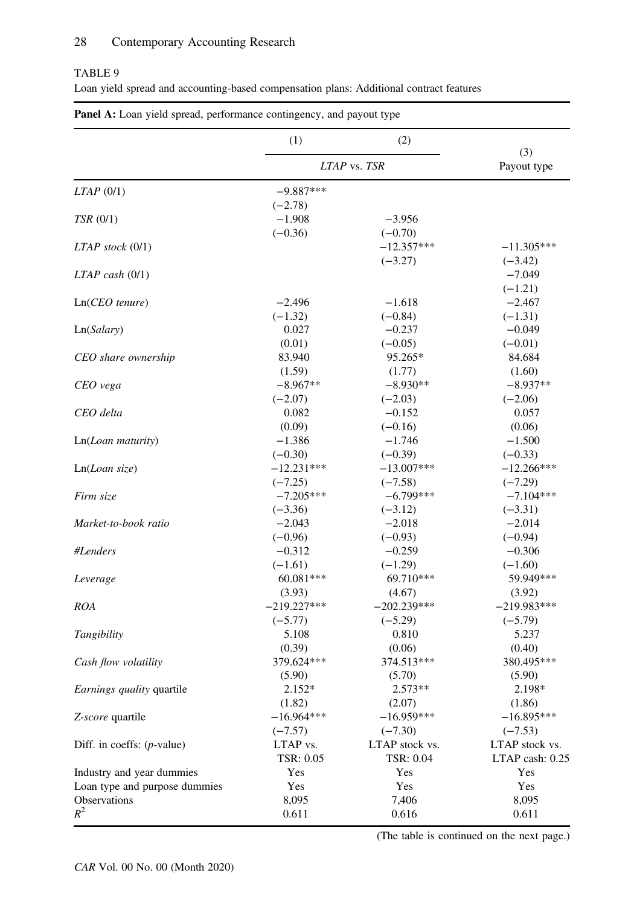## TABLE 9

|  |  |  |  |  | Loan yield spread and accounting-based compensation plans: Additional contract features |  |  |  |  |  |
|--|--|--|--|--|-----------------------------------------------------------------------------------------|--|--|--|--|--|
|--|--|--|--|--|-----------------------------------------------------------------------------------------|--|--|--|--|--|

|                               | (1)                                | (2)                       |                           |  |
|-------------------------------|------------------------------------|---------------------------|---------------------------|--|
|                               | LTAP vs. TSR                       |                           | (3)<br>Payout type        |  |
| $LTAP$ (0/1)                  | $-9.887***$                        |                           |                           |  |
| TSR (0/1)                     | $(-2.78)$<br>$-1.908$<br>$(-0.36)$ | $-3.956$<br>$(-0.70)$     |                           |  |
| $LTAP$ stock $(0/1)$          |                                    | $-12.357***$<br>$(-3.27)$ | $-11.305***$<br>$(-3.42)$ |  |
| $LTAP$ cash $(0/1)$           |                                    |                           | $-7.049$<br>$(-1.21)$     |  |
| $Ln(CEO$ tenure)              | $-2.496$                           | $-1.618$                  | $-2.467$                  |  |
|                               | $(-1.32)$                          | $(-0.84)$                 | $(-1.31)$                 |  |
| Ln(Salary)                    | 0.027                              | $-0.237$                  | $-0.049$                  |  |
|                               | (0.01)                             | $(-0.05)$                 | $(-0.01)$                 |  |
| CEO share ownership           | 83.940                             | 95.265*                   | 84.684                    |  |
|                               | (1.59)                             | (1.77)                    | (1.60)                    |  |
| CEO vega                      | $-8.967**$                         | $-8.930**$                | $-8.937**$                |  |
|                               | $(-2.07)$                          | $(-2.03)$                 | $(-2.06)$                 |  |
| CEO delta                     | 0.082                              | $-0.152$                  | 0.057                     |  |
|                               | (0.09)                             | $(-0.16)$                 | (0.06)                    |  |
| Ln(Loan maturity)             | $-1.386$                           | $-1.746$                  | $-1.500$                  |  |
|                               | $(-0.30)$                          | $(-0.39)$                 | $(-0.33)$                 |  |
| Ln(Loan size)                 | $-12.231***$                       | $-13.007***$              | $-12.266***$              |  |
|                               | $(-7.25)$                          | $(-7.58)$                 | $(-7.29)$                 |  |
| Firm size                     | $-7.205***$                        | $-6.799***$               | $-7.104***$               |  |
|                               | $(-3.36)$                          | $(-3.12)$                 | $(-3.31)$                 |  |
| Market-to-book ratio          | $-2.043$                           | $-2.018$                  | $-2.014$                  |  |
|                               | $(-0.96)$                          | $(-0.93)$                 | $(-0.94)$                 |  |
| #Lenders                      | $-0.312$                           | $-0.259$                  | $-0.306$                  |  |
|                               | $(-1.61)$                          | $(-1.29)$                 | $(-1.60)$                 |  |
| Leverage                      | 60.081***                          | 69.710***                 | 59.949***                 |  |
|                               | (3.93)                             | (4.67)                    | (3.92)                    |  |
| <b>ROA</b>                    | $-219.227***$                      | $-202.239***$             | $-219.983***$             |  |
|                               | $(-5.77)$                          | $(-5.29)$                 | $(-5.79)$                 |  |
| Tangibility                   | 5.108                              | 0.810                     | 5.237                     |  |
|                               | (0.39)                             | (0.06)                    | (0.40)                    |  |
| Cash flow volatility          | 379.624***                         | 374.513***                | 380.495***                |  |
|                               | (5.90)                             | (5.70)                    | (5.90)                    |  |
| Earnings quality quartile     | $2.152*$                           | $2.573**$                 | 2.198*                    |  |
|                               | (1.82)                             | (2.07)                    | (1.86)                    |  |
| Z-score quartile              | $-16.964***$                       | $-16.959***$              | $-16.895***$              |  |
|                               | $(-7.57)$                          | $(-7.30)$                 | $(-7.53)$                 |  |
| Diff. in coeffs: $(p$ -value) | LTAP vs.                           | LTAP stock vs.            | LTAP stock vs.            |  |
|                               | TSR: 0.05                          | TSR: 0.04                 | LTAP cash: 0.25           |  |
| Industry and year dummies     | Yes                                | Yes                       | Yes                       |  |
| Loan type and purpose dummies | Yes                                | Yes                       | Yes                       |  |
| Observations                  | 8,095                              | 7,406                     | 8,095                     |  |
| $R^2$                         | 0.611                              | 0.616                     | 0.611                     |  |

| Panel A: Loan yield spread, performance contingency, and payout type |  |  |  |  |
|----------------------------------------------------------------------|--|--|--|--|
|----------------------------------------------------------------------|--|--|--|--|

(The table is continued on the next page.)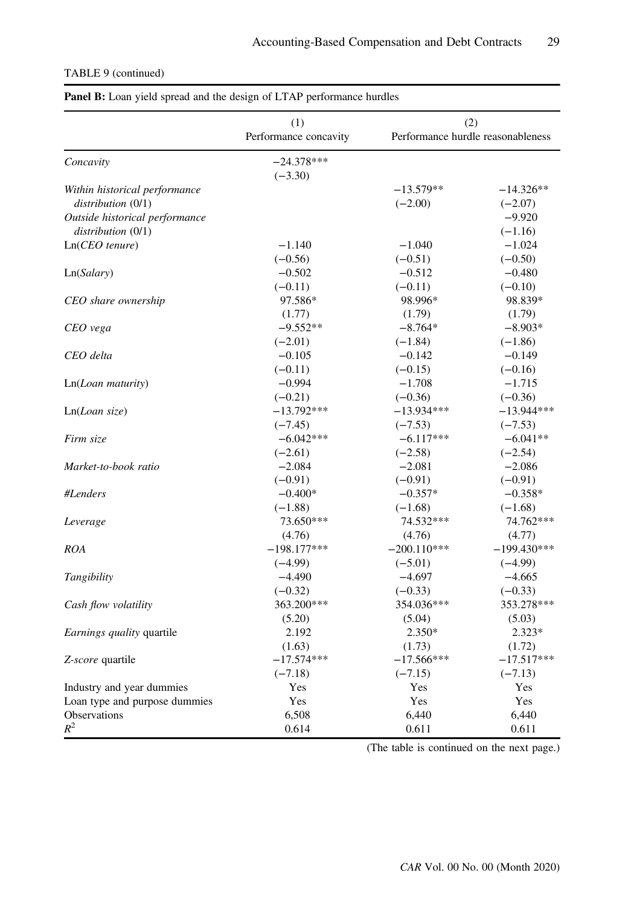|  | TABLE 9 (continued) |
|--|---------------------|
|--|---------------------|

| (1)<br>(2)                     |                       |               |                                   |
|--------------------------------|-----------------------|---------------|-----------------------------------|
|                                | Performance concavity |               | Performance hurdle reasonableness |
| Concavity                      | $-24.378***$          |               |                                   |
|                                | $(-3.30)$             |               |                                   |
| Within historical performance  |                       | $-13.579**$   | $-14.326**$                       |
| distribution (0/1)             |                       | $(-2.00)$     | $(-2.07)$                         |
| Outside historical performance |                       |               | $-9.920$                          |
| distribution (0/1)             |                       |               | $(-1.16)$                         |
| $Ln(CEO$ tenure)               | $-1.140$              | $-1.040$      | $-1.024$                          |
|                                | $(-0.56)$             | $(-0.51)$     | $(-0.50)$                         |
| Ln(Salary)                     | $-0.502$              | $-0.512$      | $-0.480$                          |
|                                | $(-0.11)$             | $(-0.11)$     | $(-0.10)$                         |
| CEO share ownership            | 97.586*               | 98.996*       | 98.839*                           |
|                                | (1.77)                | (1.79)        | (1.79)                            |
| CEO vega                       | $-9.552**$            | $-8.764*$     | $-8.903*$                         |
|                                | $(-2.01)$             | $(-1.84)$     | $(-1.86)$                         |
| CEO delta                      | $-0.105$              | $-0.142$      | $-0.149$                          |
|                                | $(-0.11)$             | $(-0.15)$     | $(-0.16)$                         |
| Ln(Loan matrix)                | $-0.994$              | $-1.708$      | $-1.715$                          |
|                                | $(-0.21)$             | $(-0.36)$     | $(-0.36)$                         |
| Ln(Loan size)                  | $-13.792***$          | $-13.934***$  | $-13.944***$                      |
|                                | $(-7.45)$             | $(-7.53)$     | $(-7.53)$                         |
| Firm size                      | $-6.042***$           | $-6.117***$   | $-6.041**$                        |
|                                | $(-2.61)$             | $(-2.58)$     | $(-2.54)$                         |
| Market-to-book ratio           | $-2.084$              | $-2.081$      | $-2.086$                          |
|                                | $(-0.91)$             | $(-0.91)$     | $(-0.91)$                         |
| #Lenders                       | $-0.400*$             | $-0.357*$     | $-0.358*$                         |
|                                | $(-1.88)$             | $(-1.68)$     | $(-1.68)$                         |
| Leverage                       | 73.650***             | 74.532***     | 74.762***                         |
|                                | (4.76)                | (4.76)        | (4.77)                            |
| <b>ROA</b>                     | $-198.177***$         | $-200.110***$ | $-199.430***$                     |
|                                | $(-4.99)$             | $(-5.01)$     | $(-4.99)$                         |
| Tangibility                    | $-4.490$              | $-4.697$      | $-4.665$                          |
|                                | $(-0.32)$             | $(-0.33)$     | $(-0.33)$                         |
| Cash flow volatility           | 363.200***            | 354.036***    | 353.278***                        |
|                                | (5.20)                | (5.04)        | (5.03)                            |
| Earnings quality quartile      | 2.192                 | 2.350*        | $2.323*$                          |
|                                | (1.63)                | (1.73)        | (1.72)                            |
| Z-score quartile               | $-17.574***$          | $-17.566***$  | $-17.517***$                      |
|                                | $(-7.18)$             | $(-7.15)$     | $(-7.13)$                         |
| Industry and year dummies      | Yes                   | Yes           | Yes                               |
| Loan type and purpose dummies  | Yes                   | Yes           | Yes                               |
| Observations                   | 6,508                 | 6.440         | 6.440                             |
| $R^2$                          | 0.614                 | 0.611         | 0.611                             |

## Panel B: Loan yield spread and the design of LTAP performance hurdles

(The table is continued on the next page.)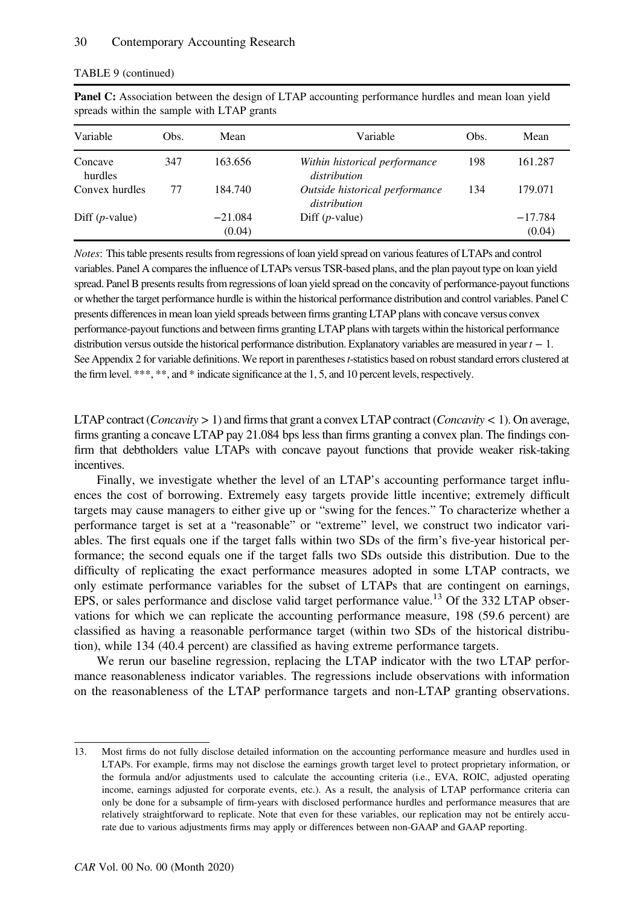| Variable           | Obs. | Mean      | Variable                                       | Obs. | Mean      |
|--------------------|------|-----------|------------------------------------------------|------|-----------|
| Concave<br>hurdles | 347  | 163.656   | Within historical performance<br>distribution  | 198  | 161.287   |
| Convex hurdles     | 77   | 184.740   | Outside historical performance<br>distribution | 134  | 179.071   |
| Diff $(p$ -value)  |      | $-21.084$ | Diff $(p$ -value)                              |      | $-17.784$ |
|                    |      | (0.04)    |                                                |      | (0.04)    |

|  | TABLE 9 (continued) |
|--|---------------------|
|--|---------------------|

Panel C: Association between the design of LTAP accounting performance hurdles and mean loan yield spreads within the sample with LTAP grants

Notes: This table presents results from regressions of loan yield spread on various features of LTAPs and control variables. Panel A compares the influence of LTAPs versus TSR-based plans, and the plan payout type on loan yield spread. Panel B presents results from regressions of loan yield spread on the concavity of performance-payout functions or whether the target performance hurdle is within the historical performance distribution and control variables. Panel C presents differences in mean loan yield spreads between firms granting LTAP plans with concave versus convex performance-payout functions and between firms granting LTAP plans with targets within the historical performance distribution versus outside the historical performance distribution. Explanatory variables are measured in year t − 1. See Appendix 2 for variable definitions. We report in parentheses t-statistics based on robust standard errors clustered at the firm level. \*\*\*, \*\*, and \* indicate significance at the 1, 5, and 10 percent levels, respectively.

LTAP contract (*Concavity*  $> 1$ ) and firms that grant a convex LTAP contract (*Concavity*  $< 1$ ). On average, firms granting a concave LTAP pay 21.084 bps less than firms granting a convex plan. The findings confirm that debtholders value LTAPs with concave payout functions that provide weaker risk-taking incentives.

Finally, we investigate whether the level of an LTAP's accounting performance target influences the cost of borrowing. Extremely easy targets provide little incentive; extremely difficult targets may cause managers to either give up or "swing for the fences." To characterize whether a performance target is set at a "reasonable" or "extreme" level, we construct two indicator variables. The first equals one if the target falls within two SDs of the firm's five-year historical performance; the second equals one if the target falls two SDs outside this distribution. Due to the difficulty of replicating the exact performance measures adopted in some LTAP contracts, we only estimate performance variables for the subset of LTAPs that are contingent on earnings, EPS, or sales performance and disclose valid target performance value.<sup>13</sup> Of the 332 LTAP observations for which we can replicate the accounting performance measure, 198 (59.6 percent) are classified as having a reasonable performance target (within two SDs of the historical distribution), while 134 (40.4 percent) are classified as having extreme performance targets.

We rerun our baseline regression, replacing the LTAP indicator with the two LTAP performance reasonableness indicator variables. The regressions include observations with information on the reasonableness of the LTAP performance targets and non-LTAP granting observations.

<sup>13.</sup> Most firms do not fully disclose detailed information on the accounting performance measure and hurdles used in LTAPs. For example, firms may not disclose the earnings growth target level to protect proprietary information, or the formula and/or adjustments used to calculate the accounting criteria (i.e., EVA, ROIC, adjusted operating income, earnings adjusted for corporate events, etc.). As a result, the analysis of LTAP performance criteria can only be done for a subsample of firm-years with disclosed performance hurdles and performance measures that are relatively straightforward to replicate. Note that even for these variables, our replication may not be entirely accurate due to various adjustments firms may apply or differences between non-GAAP and GAAP reporting.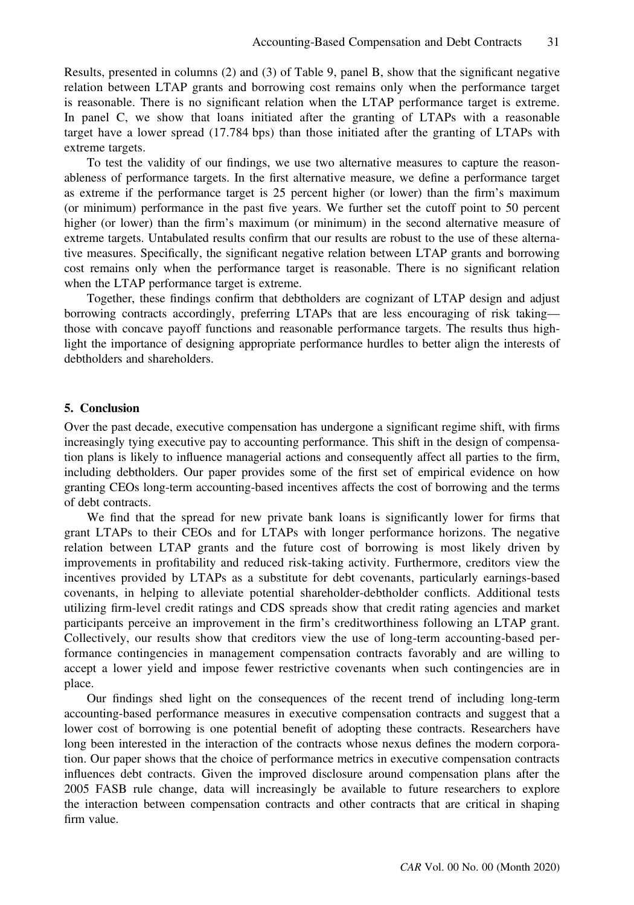Results, presented in columns (2) and (3) of Table 9, panel B, show that the significant negative relation between LTAP grants and borrowing cost remains only when the performance target is reasonable. There is no significant relation when the LTAP performance target is extreme. In panel C, we show that loans initiated after the granting of LTAPs with a reasonable target have a lower spread (17.784 bps) than those initiated after the granting of LTAPs with extreme targets.

To test the validity of our findings, we use two alternative measures to capture the reasonableness of performance targets. In the first alternative measure, we define a performance target as extreme if the performance target is 25 percent higher (or lower) than the firm's maximum (or minimum) performance in the past five years. We further set the cutoff point to 50 percent higher (or lower) than the firm's maximum (or minimum) in the second alternative measure of extreme targets. Untabulated results confirm that our results are robust to the use of these alternative measures. Specifically, the significant negative relation between LTAP grants and borrowing cost remains only when the performance target is reasonable. There is no significant relation when the LTAP performance target is extreme.

Together, these findings confirm that debtholders are cognizant of LTAP design and adjust borrowing contracts accordingly, preferring LTAPs that are less encouraging of risk taking those with concave payoff functions and reasonable performance targets. The results thus highlight the importance of designing appropriate performance hurdles to better align the interests of debtholders and shareholders.

#### 5. Conclusion

Over the past decade, executive compensation has undergone a significant regime shift, with firms increasingly tying executive pay to accounting performance. This shift in the design of compensation plans is likely to influence managerial actions and consequently affect all parties to the firm, including debtholders. Our paper provides some of the first set of empirical evidence on how granting CEOs long-term accounting-based incentives affects the cost of borrowing and the terms of debt contracts.

We find that the spread for new private bank loans is significantly lower for firms that grant LTAPs to their CEOs and for LTAPs with longer performance horizons. The negative relation between LTAP grants and the future cost of borrowing is most likely driven by improvements in profitability and reduced risk-taking activity. Furthermore, creditors view the incentives provided by LTAPs as a substitute for debt covenants, particularly earnings-based covenants, in helping to alleviate potential shareholder-debtholder conflicts. Additional tests utilizing firm-level credit ratings and CDS spreads show that credit rating agencies and market participants perceive an improvement in the firm's creditworthiness following an LTAP grant. Collectively, our results show that creditors view the use of long-term accounting-based performance contingencies in management compensation contracts favorably and are willing to accept a lower yield and impose fewer restrictive covenants when such contingencies are in place.

Our findings shed light on the consequences of the recent trend of including long-term accounting-based performance measures in executive compensation contracts and suggest that a lower cost of borrowing is one potential benefit of adopting these contracts. Researchers have long been interested in the interaction of the contracts whose nexus defines the modern corporation. Our paper shows that the choice of performance metrics in executive compensation contracts influences debt contracts. Given the improved disclosure around compensation plans after the 2005 FASB rule change, data will increasingly be available to future researchers to explore the interaction between compensation contracts and other contracts that are critical in shaping firm value.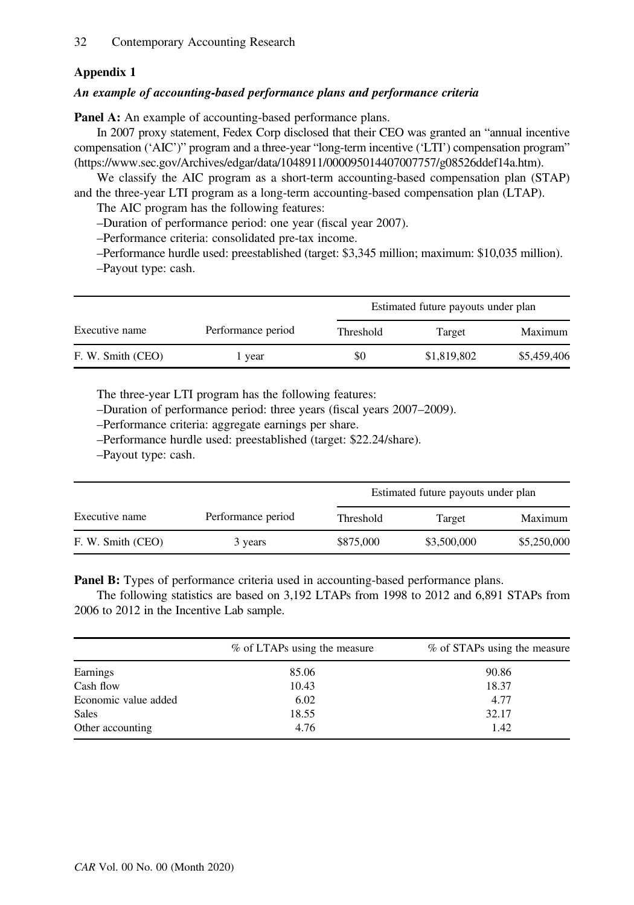# Appendix 1

## An example of accounting-based performance plans and performance criteria

Panel A: An example of accounting-based performance plans.

In 2007 proxy statement, Fedex Corp disclosed that their CEO was granted an "annual incentive compensation ('AIC')" program and a three-year "long-term incentive ('LTI') compensation program" [\(https://www.sec.gov/Archives/edgar/data/1048911/000095014407007757/g08526ddef14a.htm\)](https://www.sec.gov/Archives/edgar/data/1048911/000095014407007757/g08526ddef14a.htm).

We classify the AIC program as a short-term accounting-based compensation plan (STAP) and the three-year LTI program as a long-term accounting-based compensation plan (LTAP).

The AIC program has the following features:

–Duration of performance period: one year (fiscal year 2007).

–Performance criteria: consolidated pre-tax income.

–Performance hurdle used: preestablished (target: \$3,345 million; maximum: \$10,035 million). –Payout type: cash.

|                   |                    | Estimated future payouts under plan |             |             |
|-------------------|--------------------|-------------------------------------|-------------|-------------|
| Executive name    | Performance period | Threshold                           | Target      | Maximum     |
| F. W. Smith (CEO) | l year             | \$0                                 | \$1,819,802 | \$5,459,406 |

The three-year LTI program has the following features:

–Duration of performance period: three years (fiscal years 2007–2009).

–Performance criteria: aggregate earnings per share.

–Performance hurdle used: preestablished (target: \$22.24/share).

–Payout type: cash.

|                   |                    |           |             | Estimated future payouts under plan |  |
|-------------------|--------------------|-----------|-------------|-------------------------------------|--|
| Executive name    | Performance period | Threshold | Target      | Maximum                             |  |
| F. W. Smith (CEO) | 3 years            | \$875,000 | \$3,500,000 | \$5,250,000                         |  |

Panel B: Types of performance criteria used in accounting-based performance plans.

The following statistics are based on 3,192 LTAPs from 1998 to 2012 and 6,891 STAPs from 2006 to 2012 in the Incentive Lab sample.

|                      | % of LTAPs using the measure | % of STAPs using the measure |
|----------------------|------------------------------|------------------------------|
| Earnings             | 85.06                        | 90.86                        |
| Cash flow            | 10.43                        | 18.37                        |
| Economic value added | 6.02                         | 4.77                         |
| Sales                | 18.55                        | 32.17                        |
| Other accounting     | 4.76                         | 1.42                         |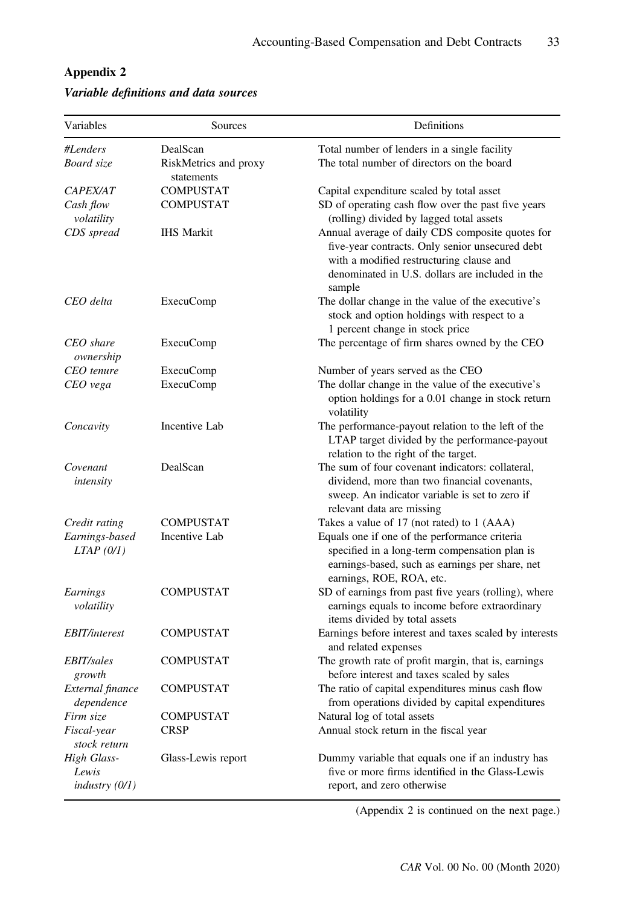| Variables                             | Sources                             | Definitions                                                                                                                                                                                                  |  |  |
|---------------------------------------|-------------------------------------|--------------------------------------------------------------------------------------------------------------------------------------------------------------------------------------------------------------|--|--|
| #Lenders                              | DealScan                            | Total number of lenders in a single facility                                                                                                                                                                 |  |  |
| Board size                            | RiskMetrics and proxy<br>statements | The total number of directors on the board                                                                                                                                                                   |  |  |
| <i>CAPEX/AT</i>                       | <b>COMPUSTAT</b>                    | Capital expenditure scaled by total asset                                                                                                                                                                    |  |  |
| Cash flow<br>volatility               | <b>COMPUSTAT</b>                    | SD of operating cash flow over the past five years<br>(rolling) divided by lagged total assets                                                                                                               |  |  |
| CDS spread                            | <b>IHS Markit</b>                   | Annual average of daily CDS composite quotes for<br>five-year contracts. Only senior unsecured debt<br>with a modified restructuring clause and<br>denominated in U.S. dollars are included in the<br>sample |  |  |
| CEO delta                             | <b>ExecuComp</b>                    | The dollar change in the value of the executive's<br>stock and option holdings with respect to a<br>1 percent change in stock price                                                                          |  |  |
| CEO share<br>ownership                | <b>ExecuComp</b>                    | The percentage of firm shares owned by the CEO                                                                                                                                                               |  |  |
| CEO tenure                            | <b>ExecuComp</b>                    | Number of years served as the CEO                                                                                                                                                                            |  |  |
| CEO vega                              | <b>ExecuComp</b>                    | The dollar change in the value of the executive's<br>option holdings for a 0.01 change in stock return<br>volatility                                                                                         |  |  |
| Concavity                             | Incentive Lab                       | The performance-payout relation to the left of the<br>LTAP target divided by the performance-payout<br>relation to the right of the target.                                                                  |  |  |
| Covenant<br>intensity                 | DealScan                            | The sum of four covenant indicators: collateral,<br>dividend, more than two financial covenants,<br>sweep. An indicator variable is set to zero if<br>relevant data are missing                              |  |  |
| Credit rating                         | COMPUSTAT                           | Takes a value of 17 (not rated) to 1 (AAA)                                                                                                                                                                   |  |  |
| Earnings-based<br>LTAP(0/I)           | Incentive Lab                       | Equals one if one of the performance criteria<br>specified in a long-term compensation plan is<br>earnings-based, such as earnings per share, net<br>earnings, ROE, ROA, etc.                                |  |  |
| Earnings<br>volatility                | COMPUSTAT                           | SD of earnings from past five years (rolling), where<br>earnings equals to income before extraordinary<br>items divided by total assets                                                                      |  |  |
| <i>EBIT/interest</i>                  | COMPUSTAT                           | Earnings before interest and taxes scaled by interests<br>and related expenses                                                                                                                               |  |  |
| <i>EBIT/sales</i><br>growth           | COMPUSTAT                           | The growth rate of profit margin, that is, earnings<br>before interest and taxes scaled by sales                                                                                                             |  |  |
| External finance<br>dependence        | <b>COMPUSTAT</b>                    | The ratio of capital expenditures minus cash flow<br>from operations divided by capital expenditures                                                                                                         |  |  |
| Firm size                             | COMPUSTAT                           | Natural log of total assets                                                                                                                                                                                  |  |  |
| Fiscal-year<br>stock return           | CRSP                                | Annual stock return in the fiscal year                                                                                                                                                                       |  |  |
| High Glass-<br>Lewis<br>industry(0/1) | Glass-Lewis report                  | Dummy variable that equals one if an industry has<br>five or more firms identified in the Glass-Lewis<br>report, and zero otherwise                                                                          |  |  |

# Appendix 2

# Variable definitions and data sources

(Appendix 2 is continued on the next page.)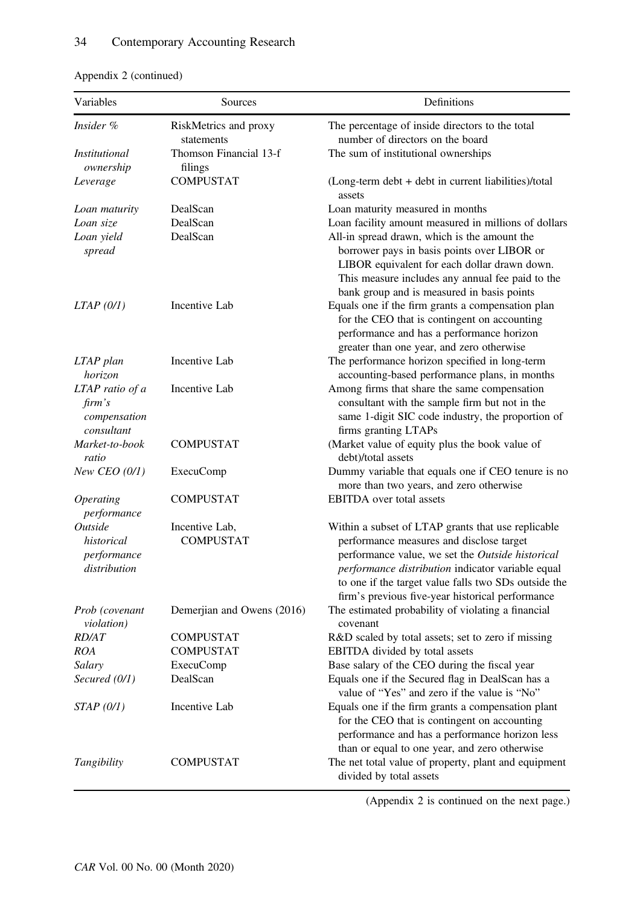| Variables                                                  | Sources                              | Definitions                                                                                                                                                                                                                                                                                                         |  |
|------------------------------------------------------------|--------------------------------------|---------------------------------------------------------------------------------------------------------------------------------------------------------------------------------------------------------------------------------------------------------------------------------------------------------------------|--|
| Insider %                                                  | RiskMetrics and proxy                | The percentage of inside directors to the total                                                                                                                                                                                                                                                                     |  |
| <i>Institutional</i>                                       | statements<br>Thomson Financial 13-f | number of directors on the board<br>The sum of institutional ownerships                                                                                                                                                                                                                                             |  |
| ownership                                                  | filings                              |                                                                                                                                                                                                                                                                                                                     |  |
| Leverage                                                   | <b>COMPUSTAT</b>                     | (Long-term debt + debt in current liabilities)/total<br>assets                                                                                                                                                                                                                                                      |  |
| Loan maturity                                              | DealScan                             | Loan maturity measured in months                                                                                                                                                                                                                                                                                    |  |
| Loan size                                                  | DealScan                             | Loan facility amount measured in millions of dollars                                                                                                                                                                                                                                                                |  |
| Loan yield<br>spread                                       | DealScan                             | All-in spread drawn, which is the amount the<br>borrower pays in basis points over LIBOR or<br>LIBOR equivalent for each dollar drawn down.<br>This measure includes any annual fee paid to the<br>bank group and is measured in basis points                                                                       |  |
| $LTAP$ (0/1)                                               | Incentive Lab                        | Equals one if the firm grants a compensation plan<br>for the CEO that is contingent on accounting<br>performance and has a performance horizon<br>greater than one year, and zero otherwise                                                                                                                         |  |
| LTAP plan<br>horizon                                       | Incentive Lab                        | The performance horizon specified in long-term<br>accounting-based performance plans, in months                                                                                                                                                                                                                     |  |
| LTAP ratio of a<br>$\lim$ 's<br>compensation<br>consultant | Incentive Lab                        | Among firms that share the same compensation<br>consultant with the sample firm but not in the<br>same 1-digit SIC code industry, the proportion of<br>firms granting LTAPs                                                                                                                                         |  |
| Market-to-book<br>ratio                                    | COMPUSTAT                            | (Market value of equity plus the book value of<br>debt)/total assets                                                                                                                                                                                                                                                |  |
| New CEO $(0/1)$                                            | <b>ExecuComp</b>                     | Dummy variable that equals one if CEO tenure is no<br>more than two years, and zero otherwise                                                                                                                                                                                                                       |  |
| <i><b>Operating</b></i><br>performance                     | COMPUSTAT                            | <b>EBITDA</b> over total assets                                                                                                                                                                                                                                                                                     |  |
| Outside<br>historical<br>performance<br>distribution       | Incentive Lab,<br><b>COMPUSTAT</b>   | Within a subset of LTAP grants that use replicable<br>performance measures and disclose target<br>performance value, we set the Outside historical<br>performance distribution indicator variable equal<br>to one if the target value falls two SDs outside the<br>firm's previous five-year historical performance |  |
| Prob (covenant<br>violation)                               | Demerjian and Owens (2016)           | The estimated probability of violating a financial<br>covenant                                                                                                                                                                                                                                                      |  |
| <i>RD/AT</i>                                               | COMPUSTAT                            | R&D scaled by total assets; set to zero if missing                                                                                                                                                                                                                                                                  |  |
| ROA                                                        | COMPUSTAT                            | EBITDA divided by total assets                                                                                                                                                                                                                                                                                      |  |
| Salary                                                     | <b>ExecuComp</b>                     | Base salary of the CEO during the fiscal year                                                                                                                                                                                                                                                                       |  |
| Secured (0/1)                                              | DealScan                             | Equals one if the Secured flag in DealScan has a<br>value of "Yes" and zero if the value is "No"                                                                                                                                                                                                                    |  |
| STAP(0/I)                                                  | Incentive Lab                        | Equals one if the firm grants a compensation plant<br>for the CEO that is contingent on accounting<br>performance and has a performance horizon less<br>than or equal to one year, and zero otherwise                                                                                                               |  |
| Tangibility                                                | <b>COMPUSTAT</b>                     | The net total value of property, plant and equipment<br>divided by total assets                                                                                                                                                                                                                                     |  |

# Appendix 2 (continued)

(Appendix 2 is continued on the next page.)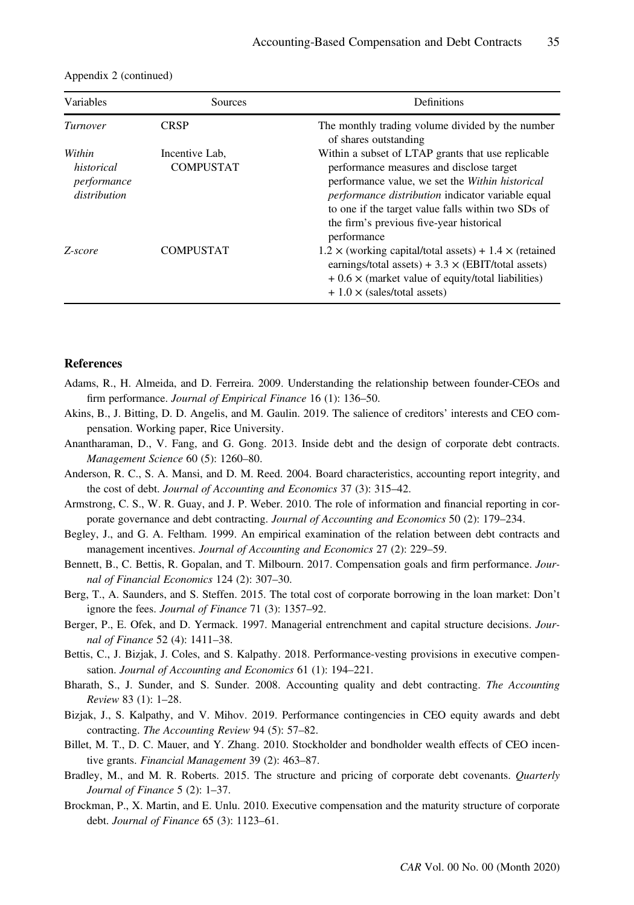| Variables                                           | Sources                            | Definitions                                                                                                                                                                                                                                                                                                                    |  |
|-----------------------------------------------------|------------------------------------|--------------------------------------------------------------------------------------------------------------------------------------------------------------------------------------------------------------------------------------------------------------------------------------------------------------------------------|--|
| Turnover                                            | CRSP                               | The monthly trading volume divided by the number<br>of shares outstanding                                                                                                                                                                                                                                                      |  |
| Within<br>historical<br>performance<br>distribution | Incentive Lab,<br><b>COMPUSTAT</b> | Within a subset of LTAP grants that use replicable<br>performance measures and disclose target<br>performance value, we set the Within historical<br><i>performance distribution</i> indicator variable equal<br>to one if the target value falls within two SDs of<br>the firm's previous five-year historical<br>performance |  |
| Z-score                                             | <b>COMPUSTAT</b>                   | $1.2 \times$ (working capital/total assets) + 1.4 $\times$ (retained<br>earnings/total assets) + $3.3 \times$ (EBIT/total assets)<br>$+0.6 \times$ (market value of equity/total liabilities)<br>$+1.0 \times$ (sales/total assets)                                                                                            |  |

| Appendix 2 (continued) |  |  |
|------------------------|--|--|
|------------------------|--|--|

#### **References**

- Adams, R., H. Almeida, and D. Ferreira. 2009. Understanding the relationship between founder-CEOs and firm performance. Journal of Empirical Finance 16 (1): 136-50.
- Akins, B., J. Bitting, D. D. Angelis, and M. Gaulin. 2019. The salience of creditors' interests and CEO compensation. Working paper, Rice University.
- Anantharaman, D., V. Fang, and G. Gong. 2013. Inside debt and the design of corporate debt contracts. Management Science 60 (5): 1260–80.
- Anderson, R. C., S. A. Mansi, and D. M. Reed. 2004. Board characteristics, accounting report integrity, and the cost of debt. Journal of Accounting and Economics 37 (3): 315–42.
- Armstrong, C. S., W. R. Guay, and J. P. Weber. 2010. The role of information and financial reporting in corporate governance and debt contracting. Journal of Accounting and Economics 50 (2): 179–234.
- Begley, J., and G. A. Feltham. 1999. An empirical examination of the relation between debt contracts and management incentives. Journal of Accounting and Economics 27 (2): 229–59.
- Bennett, B., C. Bettis, R. Gopalan, and T. Milbourn. 2017. Compensation goals and firm performance. Journal of Financial Economics 124 (2): 307–30.
- Berg, T., A. Saunders, and S. Steffen. 2015. The total cost of corporate borrowing in the loan market: Don't ignore the fees. Journal of Finance 71 (3): 1357–92.
- Berger, P., E. Ofek, and D. Yermack. 1997. Managerial entrenchment and capital structure decisions. Journal of Finance 52 (4): 1411–38.
- Bettis, C., J. Bizjak, J. Coles, and S. Kalpathy. 2018. Performance-vesting provisions in executive compensation. Journal of Accounting and Economics 61 (1): 194–221.
- Bharath, S., J. Sunder, and S. Sunder. 2008. Accounting quality and debt contracting. The Accounting Review 83 (1): 1–28.
- Bizjak, J., S. Kalpathy, and V. Mihov. 2019. Performance contingencies in CEO equity awards and debt contracting. The Accounting Review 94 (5): 57–82.
- Billet, M. T., D. C. Mauer, and Y. Zhang. 2010. Stockholder and bondholder wealth effects of CEO incentive grants. Financial Management 39 (2): 463-87.
- Bradley, M., and M. R. Roberts. 2015. The structure and pricing of corporate debt covenants. Quarterly Journal of Finance 5 (2): 1–37.
- Brockman, P., X. Martin, and E. Unlu. 2010. Executive compensation and the maturity structure of corporate debt. Journal of Finance 65 (3): 1123–61.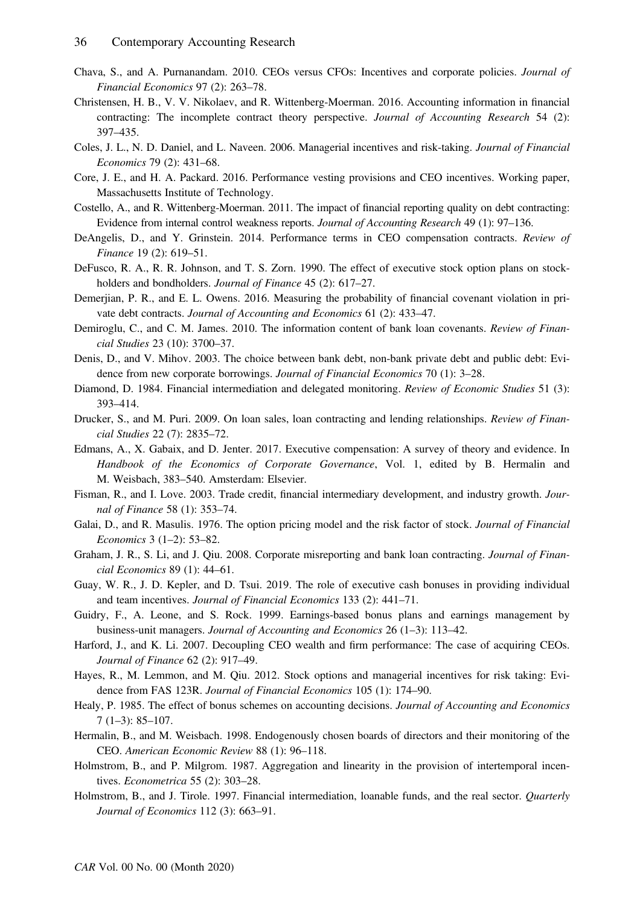- Chava, S., and A. Purnanandam. 2010. CEOs versus CFOs: Incentives and corporate policies. Journal of Financial Economics 97 (2): 263–78.
- Christensen, H. B., V. V. Nikolaev, and R. Wittenberg-Moerman. 2016. Accounting information in financial contracting: The incomplete contract theory perspective. Journal of Accounting Research 54 (2): 397–435.
- Coles, J. L., N. D. Daniel, and L. Naveen. 2006. Managerial incentives and risk-taking. Journal of Financial Economics 79 (2): 431–68.
- Core, J. E., and H. A. Packard. 2016. Performance vesting provisions and CEO incentives. Working paper, Massachusetts Institute of Technology.
- Costello, A., and R. Wittenberg-Moerman. 2011. The impact of financial reporting quality on debt contracting: Evidence from internal control weakness reports. Journal of Accounting Research 49 (1): 97–136.
- DeAngelis, D., and Y. Grinstein. 2014. Performance terms in CEO compensation contracts. Review of Finance 19 (2): 619–51.
- DeFusco, R. A., R. R. Johnson, and T. S. Zorn. 1990. The effect of executive stock option plans on stockholders and bondholders. Journal of Finance 45 (2): 617–27.
- Demerjian, P. R., and E. L. Owens. 2016. Measuring the probability of financial covenant violation in private debt contracts. Journal of Accounting and Economics 61 (2): 433–47.
- Demiroglu, C., and C. M. James. 2010. The information content of bank loan covenants. Review of Financial Studies 23 (10): 3700–37.
- Denis, D., and V. Mihov. 2003. The choice between bank debt, non-bank private debt and public debt: Evidence from new corporate borrowings. Journal of Financial Economics 70 (1): 3–28.
- Diamond, D. 1984. Financial intermediation and delegated monitoring. Review of Economic Studies 51 (3): 393–414.
- Drucker, S., and M. Puri. 2009. On loan sales, loan contracting and lending relationships. Review of Financial Studies 22 (7): 2835–72.
- Edmans, A., X. Gabaix, and D. Jenter. 2017. Executive compensation: A survey of theory and evidence. In Handbook of the Economics of Corporate Governance, Vol. 1, edited by B. Hermalin and M. Weisbach, 383–540. Amsterdam: Elsevier.
- Fisman, R., and I. Love. 2003. Trade credit, financial intermediary development, and industry growth. Journal of Finance 58 (1): 353–74.
- Galai, D., and R. Masulis. 1976. The option pricing model and the risk factor of stock. Journal of Financial Economics 3 (1–2): 53–82.
- Graham, J. R., S. Li, and J. Qiu. 2008. Corporate misreporting and bank loan contracting. *Journal of Finan*cial Economics 89 (1): 44–61.
- Guay, W. R., J. D. Kepler, and D. Tsui. 2019. The role of executive cash bonuses in providing individual and team incentives. Journal of Financial Economics 133 (2): 441–71.
- Guidry, F., A. Leone, and S. Rock. 1999. Earnings-based bonus plans and earnings management by business-unit managers. Journal of Accounting and Economics 26 (1–3): 113–42.
- Harford, J., and K. Li. 2007. Decoupling CEO wealth and firm performance: The case of acquiring CEOs. Journal of Finance 62 (2): 917–49.
- Hayes, R., M. Lemmon, and M. Qiu. 2012. Stock options and managerial incentives for risk taking: Evidence from FAS 123R. Journal of Financial Economics 105 (1): 174–90.
- Healy, P. 1985. The effect of bonus schemes on accounting decisions. Journal of Accounting and Economics 7 (1–3): 85–107.
- Hermalin, B., and M. Weisbach. 1998. Endogenously chosen boards of directors and their monitoring of the CEO. American Economic Review 88 (1): 96–118.
- Holmstrom, B., and P. Milgrom. 1987. Aggregation and linearity in the provision of intertemporal incentives. Econometrica 55 (2): 303–28.
- Holmstrom, B., and J. Tirole. 1997. Financial intermediation, loanable funds, and the real sector. *Quarterly* Journal of Economics 112 (3): 663–91.